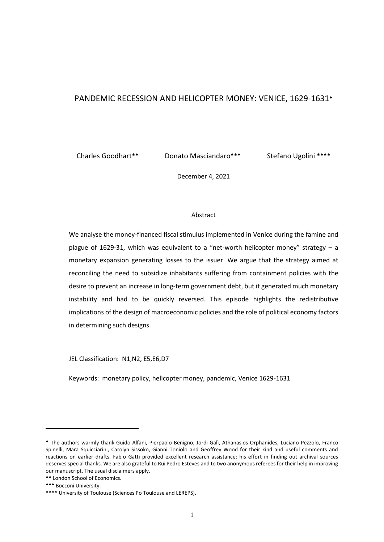# PANDEMIC RECESSION AND HELICOPTER MONEY: VENICE, 1629-1631<sup>\*</sup>

Charles Goodhart

Donato Masciandaro<sup>\*\*\*</sup>

Stefano Ugolini \*\*\*\*

December 4, 2021

## Abstract

We analyse the money-financed fiscal stimulus implemented in Venice during the famine and plague of 1629-31, which was equivalent to a "net-worth helicopter money" strategy  $- a$ monetary expansion generating losses to the issuer. We argue that the strategy aimed at reconciling the need to subsidize inhabitants suffering from containment policies with the desire to prevent an increase in long-term government debt, but it generated much monetary instability and had to be quickly reversed. This episode highlights the redistributive implications of the design of macroeconomic policies and the role of political economy factors in determining such designs.

JEL Classification: N1,N2, E5,E6,D7

Keywords: monetary policy, helicopter money, pandemic, Venice 1629-1631

The authors warmly thank Guido Alfani, Pierpaolo Benigno, Jordi Galì, Athanasios Orphanides, Luciano Pezzolo, Franco Spinelli, Mara Squicciarini, Carolyn Sissoko, Gianni Toniolo and Geoffrey Wood for their kind and useful comments and reactions on earlier drafts. Fabio Gatti provided excellent research assistance; his effort in finding out archival sources deserves special thanks. We are also grateful to Rui Pedro Esteves and to two anonymous referees for their help in improving our manuscript. The usual disclaimers apply.

London School of Economics.

<sup>\*\*\*</sup> Bocconi University.

<sup>\*\*\*\*</sup> University of Toulouse (Sciences Po Toulouse and LEREPS).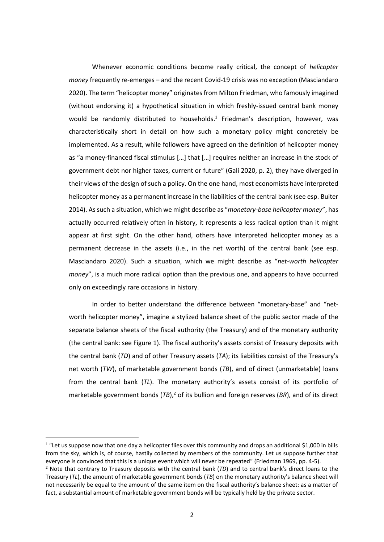Whenever economic conditions become really critical, the concept of *helicopter money* frequently re-emerges – and the recent Covid-19 crisis was no exception (Masciandaro 2020). The term "helicopter money" originates from Milton Friedman, who famously imagined (without endorsing it) a hypothetical situation in which freshly-issued central bank money would be randomly distributed to households. 1 Friedman's description, however, was characteristically short in detail on how such a monetary policy might concretely be implemented. As a result, while followers have agreed on the definition of helicopter money as "a money-financed fiscal stimulus […] that […] requires neither an increase in the stock of government debt nor higher taxes, current or future" (Galí 2020, p. 2), they have diverged in their views of the design of such a policy. On the one hand, most economists have interpreted helicopter money as a permanent increase in the liabilities of the central bank (see esp. Buiter 2014). As such a situation, which we might describe as "*monetary-base helicopter money*", has actually occurred relatively often in history, it represents a less radical option than it might appear at first sight. On the other hand, others have interpreted helicopter money as a permanent decrease in the assets (i.e., in the net worth) of the central bank (see esp. Masciandaro 2020). Such a situation, which we might describe as "*net-worth helicopter money*", is a much more radical option than the previous one, and appears to have occurred only on exceedingly rare occasions in history.

In order to better understand the difference between "monetary-base" and "networth helicopter money", imagine a stylized balance sheet of the public sector made of the separate balance sheets of the fiscal authority (the Treasury) and of the monetary authority (the central bank: see Figure 1). The fiscal authority's assets consist of Treasury deposits with the central bank (*TD*) and of other Treasury assets (*TA*); its liabilities consist of the Treasury's net worth (*TW*), of marketable government bonds (*TB*), and of direct (unmarketable) loans from the central bank (*TL*). The monetary authority's assets consist of its portfolio of marketable government bonds (TB),<sup>2</sup> of its bullion and foreign reserves (BR), and of its direct

 $1$  "Let us suppose now that one day a helicopter flies over this community and drops an additional \$1,000 in bills from the sky, which is, of course, hastily collected by members of the community. Let us suppose further that everyone is convinced that this is a unique event which will never be repeated" (Friedman 1969, pp. 4-5).

<sup>2</sup> Note that contrary to Treasury deposits with the central bank (*TD*) and to central bank's direct loans to the Treasury (*TL*), the amount of marketable government bonds (*TB*) on the monetary authority's balance sheet will not necessarily be equal to the amount of the same item on the fiscal authority's balance sheet: as a matter of fact, a substantial amount of marketable government bonds will be typically held by the private sector.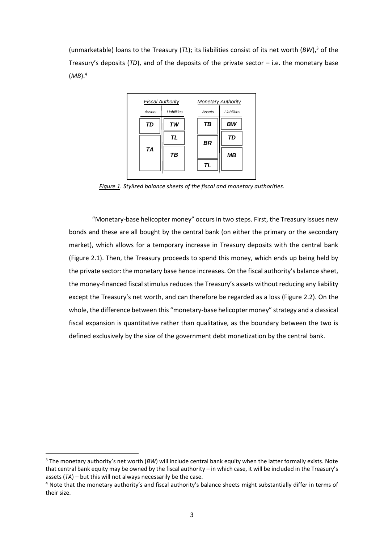(unmarketable) loans to the Treasury (*TL*); its liabilities consist of its net worth (*BW*),<sup>3</sup> of the Treasury's deposits (*TD*), and of the deposits of the private sector – i.e. the monetary base (*MB*).<sup>4</sup>



*Figure 1. Stylized balance sheets of the fiscal and monetary authorities.*

"Monetary-base helicopter money" occurs in two steps. First, the Treasury issues new bonds and these are all bought by the central bank (on either the primary or the secondary market), which allows for a temporary increase in Treasury deposits with the central bank (Figure 2.1). Then, the Treasury proceeds to spend this money, which ends up being held by the private sector: the monetary base hence increases. On the fiscal authority's balance sheet, the money-financed fiscal stimulus reduces the Treasury's assets without reducing any liability except the Treasury's net worth, and can therefore be regarded as a loss (Figure 2.2). On the whole, the difference between this "monetary-base helicopter money" strategy and a classical fiscal expansion is quantitative rather than qualitative, as the boundary between the two is defined exclusively by the size of the government debt monetization by the central bank.

<sup>3</sup> The monetary authority's net worth (*BW*) will include central bank equity when the latter formally exists. Note that central bank equity may be owned by the fiscal authority – in which case, it will be included in the Treasury's assets (*TA*) – but this will not always necessarily be the case.

<sup>&</sup>lt;sup>4</sup> Note that the monetary authority's and fiscal authority's balance sheets might substantially differ in terms of their size.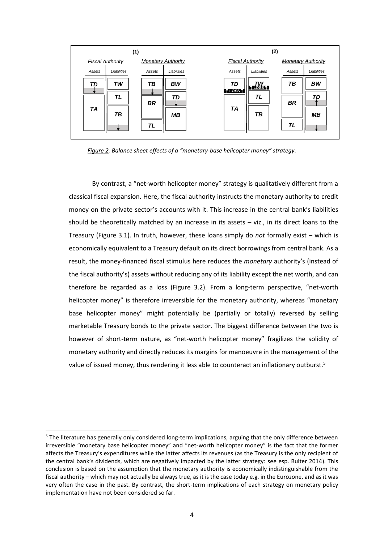|                         | (1)         |                           |             |                    | (2)                     |           |                           |  |
|-------------------------|-------------|---------------------------|-------------|--------------------|-------------------------|-----------|---------------------------|--|
| <b>Fiscal Authority</b> |             | <b>Monetary Authority</b> |             |                    | <b>Fiscal Authority</b> |           | <b>Monetary Authority</b> |  |
| Assets                  | Liabilities | Assets                    | Liabilities | Assets             | Liabilities             | Assets    | Liabilities               |  |
| TD                      | TW          | TВ                        | <b>BW</b>   | TD                 | $\frac{7W}{1000}$       | TВ        | <b>BW</b>                 |  |
|                         | TL          | <b>BR</b>                 | TD          | TLOSS <sub>1</sub> | <b>TL</b>               | <b>BR</b> | TD                        |  |
| <b>TA</b>               | TВ          |                           | <b>MB</b>   | TA                 | TВ                      |           | <b>MB</b>                 |  |
|                         |             | TL                        |             |                    |                         | TL        |                           |  |

*Figure 2. Balance sheet effects of a "monetary-base helicopter money" strategy.*

By contrast, a "net-worth helicopter money" strategy is qualitatively different from a classical fiscal expansion. Here, the fiscal authority instructs the monetary authority to credit money on the private sector's accounts with it. This increase in the central bank's liabilities should be theoretically matched by an increase in its assets  $-$  viz., in its direct loans to the Treasury (Figure 3.1). In truth, however, these loans simply do *not* formally exist – which is economically equivalent to a Treasury default on its direct borrowings from central bank. As a result, the money-financed fiscal stimulus here reduces the *monetary* authority's (instead of the fiscal authority's) assets without reducing any of its liability except the net worth, and can therefore be regarded as a loss (Figure 3.2). From a long-term perspective, "net-worth helicopter money" is therefore irreversible for the monetary authority, whereas "monetary base helicopter money" might potentially be (partially or totally) reversed by selling marketable Treasury bonds to the private sector. The biggest difference between the two is however of short-term nature, as "net-worth helicopter money" fragilizes the solidity of monetary authority and directly reduces its margins for manoeuvre in the management of the value of issued money, thus rendering it less able to counteract an inflationary outburst.<sup>5</sup>

<sup>&</sup>lt;sup>5</sup> The literature has generally only considered long-term implications, arguing that the only difference between irreversible "monetary base helicopter money" and "net-worth helicopter money" is the fact that the former affects the Treasury's expenditures while the latter affects its revenues (as the Treasury is the only recipient of the central bank's dividends, which are negatively impacted by the latter strategy: see esp. Buiter 2014). This conclusion is based on the assumption that the monetary authority is economically indistinguishable from the fiscal authority – which may not actually be always true, as it is the case today e.g. in the Eurozone, and as it was very often the case in the past. By contrast, the short-term implications of each strategy on monetary policy implementation have not been considered so far.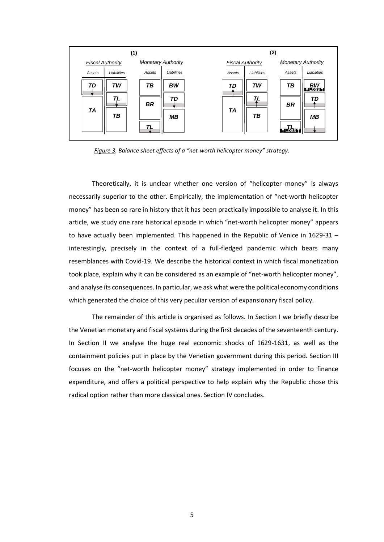|                 | (1)                     |                       |                           |                 | (2)                     |                                    |                                       |  |  |
|-----------------|-------------------------|-----------------------|---------------------------|-----------------|-------------------------|------------------------------------|---------------------------------------|--|--|
|                 | <b>Fiscal Authority</b> |                       | <b>Monetary Authority</b> |                 | <b>Fiscal Authority</b> |                                    | <b>Monetary Authority</b>             |  |  |
| Assets          | Liabilities             | Assets                | Liabilities               | Assets          | Liabilities             | Assets                             | Liabilities                           |  |  |
| TD<br><b>TA</b> | TW<br>TL<br>TВ          | TВ<br><b>BR</b><br>г. | BW<br>TD<br><b>MB</b>     | TD<br><b>TA</b> | TW<br>TВ                | TB<br><b>BR</b><br><b>k róss í</b> | $\frac{BW}{10085}$<br>TD<br><b>MB</b> |  |  |

*Figure 3. Balance sheet effects of a "net-worth helicopter money" strategy.*

Theoretically, it is unclear whether one version of "helicopter money" is always necessarily superior to the other. Empirically, the implementation of "net-worth helicopter money" has been so rare in history that it has been practically impossible to analyse it. In this article, we study one rare historical episode in which "net-worth helicopter money" appears to have actually been implemented. This happened in the Republic of Venice in 1629-31 – interestingly, precisely in the context of a full-fledged pandemic which bears many resemblances with Covid-19. We describe the historical context in which fiscal monetization took place, explain why it can be considered as an example of "net-worth helicopter money", and analyse its consequences. In particular, we ask what were the political economy conditions which generated the choice of this very peculiar version of expansionary fiscal policy.

The remainder of this article is organised as follows. In Section I we briefly describe the Venetian monetary and fiscal systems during the first decades of the seventeenth century. In Section II we analyse the huge real economic shocks of 1629-1631, as well as the containment policies put in place by the Venetian government during this period. Section III focuses on the "net-worth helicopter money" strategy implemented in order to finance expenditure, and offers a political perspective to help explain why the Republic chose this radical option rather than more classical ones. Section IV concludes.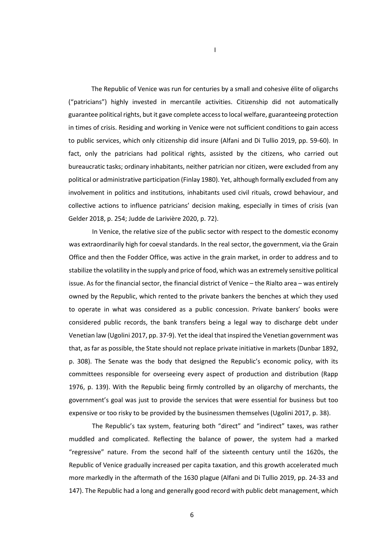The Republic of Venice was run for centuries by a small and cohesive élite of oligarchs ("patricians") highly invested in mercantile activities. Citizenship did not automatically guarantee political rights, but it gave complete access to local welfare, guaranteeing protection in times of crisis. Residing and working in Venice were not sufficient conditions to gain access to public services, which only citizenship did insure (Alfani and Di Tullio 2019, pp. 59-60). In fact, only the patricians had political rights, assisted by the citizens, who carried out bureaucratic tasks; ordinary inhabitants, neither patrician nor citizen, were excluded from any political or administrative participation (Finlay 1980). Yet, although formally excluded from any involvement in politics and institutions, inhabitants used civil rituals, crowd behaviour, and collective actions to influence patricians' decision making, especially in times of crisis (van Gelder 2018, p. 254; Judde de Larivière 2020, p. 72).

In Venice, the relative size of the public sector with respect to the domestic economy was extraordinarily high for coeval standards. In the real sector, the government, via the Grain Office and then the Fodder Office, was active in the grain market, in order to address and to stabilize the volatility in the supply and price of food, which was an extremely sensitive political issue. As for the financial sector, the financial district of Venice – the Rialto area – was entirely owned by the Republic, which rented to the private bankers the benches at which they used to operate in what was considered as a public concession. Private bankers' books were considered public records, the bank transfers being a legal way to discharge debt under Venetian law (Ugolini 2017, pp. 37-9). Yet the ideal that inspired the Venetian government was that, as far as possible, the State should not replace private initiative in markets (Dunbar 1892, p. 308). The Senate was the body that designed the Republic's economic policy, with its committees responsible for overseeing every aspect of production and distribution (Rapp 1976, p. 139). With the Republic being firmly controlled by an oligarchy of merchants, the government's goal was just to provide the services that were essential for business but too expensive or too risky to be provided by the businessmen themselves (Ugolini 2017, p. 38).

The Republic's tax system, featuring both "direct" and "indirect" taxes, was rather muddled and complicated. Reflecting the balance of power, the system had a marked "regressive" nature. From the second half of the sixteenth century until the 1620s, the Republic of Venice gradually increased per capita taxation, and this growth accelerated much more markedly in the aftermath of the 1630 plague (Alfani and Di Tullio 2019, pp. 24-33 and 147). The Republic had a long and generally good record with public debt management, which

I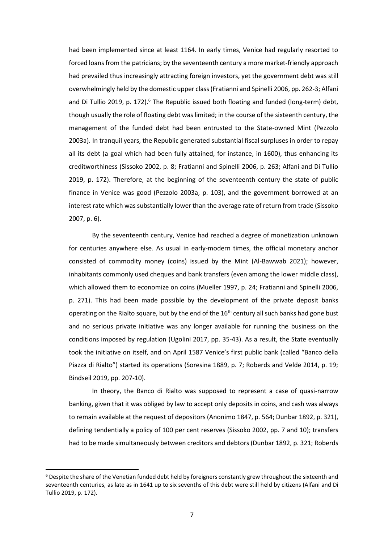had been implemented since at least 1164. In early times, Venice had regularly resorted to forced loans from the patricians; by the seventeenth century a more market-friendly approach had prevailed thus increasingly attracting foreign investors, yet the government debt was still overwhelmingly held by the domestic upper class(Fratianni and Spinelli 2006, pp. 262-3; Alfani and Di Tullio 2019, p. 172).<sup>6</sup> The Republic issued both floating and funded (long-term) debt, though usually the role of floating debt was limited; in the course of the sixteenth century, the management of the funded debt had been entrusted to the State-owned Mint (Pezzolo 2003a). In tranquil years, the Republic generated substantial fiscal surpluses in order to repay all its debt (a goal which had been fully attained, for instance, in 1600), thus enhancing its creditworthiness (Sissoko 2002, p. 8; Fratianni and Spinelli 2006, p. 263; Alfani and Di Tullio 2019, p. 172). Therefore, at the beginning of the seventeenth century the state of public finance in Venice was good (Pezzolo 2003a, p. 103), and the government borrowed at an interest rate which was substantially lower than the average rate of return from trade (Sissoko 2007, p. 6).

By the seventeenth century, Venice had reached a degree of monetization unknown for centuries anywhere else. As usual in early-modern times, the official monetary anchor consisted of commodity money (coins) issued by the Mint (Al-Bawwab 2021); however, inhabitants commonly used cheques and bank transfers (even among the lower middle class), which allowed them to economize on coins (Mueller 1997, p. 24; Fratianni and Spinelli 2006, p. 271). This had been made possible by the development of the private deposit banks operating on the Rialto square, but by the end of the 16<sup>th</sup> century all such banks had gone bust and no serious private initiative was any longer available for running the business on the conditions imposed by regulation (Ugolini 2017, pp. 35-43). As a result, the State eventually took the initiative on itself, and on April 1587 Venice's first public bank (called "Banco della Piazza di Rialto") started its operations (Soresina 1889, p. 7; Roberds and Velde 2014, p. 19; Bindseil 2019, pp. 207-10).

In theory, the Banco di Rialto was supposed to represent a case of quasi-narrow banking, given that it was obliged by law to accept only deposits in coins, and cash was always to remain available at the request of depositors (Anonimo 1847, p. 564; Dunbar 1892, p. 321), defining tendentially a policy of 100 per cent reserves (Sissoko 2002, pp. 7 and 10); transfers had to be made simultaneously between creditors and debtors (Dunbar 1892, p. 321; Roberds

 $6$  Despite the share of the Venetian funded debt held by foreigners constantly grew throughout the sixteenth and seventeenth centuries, as late as in 1641 up to six sevenths of this debt were still held by citizens (Alfani and Di Tullio 2019, p. 172).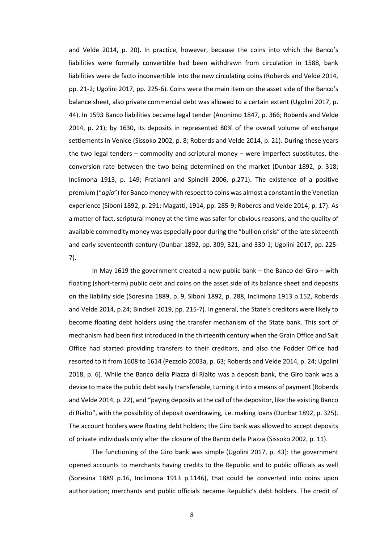and Velde 2014, p. 20). In practice, however, because the coins into which the Banco's liabilities were formally convertible had been withdrawn from circulation in 1588, bank liabilities were de facto inconvertible into the new circulating coins (Roberds and Velde 2014, pp. 21-2; Ugolini 2017, pp. 225-6). Coins were the main item on the asset side of the Banco's balance sheet, also private commercial debt was allowed to a certain extent (Ugolini 2017, p. 44). In 1593 Banco liabilities became legal tender (Anonimo 1847, p. 366; Roberds and Velde 2014, p. 21); by 1630, its deposits in represented 80% of the overall volume of exchange settlements in Venice (Sissoko 2002, p. 8; Roberds and Velde 2014, p. 21). During these years the two legal tenders – commodity and scriptural money – were imperfect substitutes, the conversion rate between the two being determined on the market (Dunbar 1892, p. 318; Inclimona 1913, p. 149; Fratianni and Spinelli 2006, p.271). The existence of a positive premium ("*agio*") for Banco money with respect to coins was almost a constant in the Venetian experience (Siboni 1892, p. 291; Magatti, 1914, pp. 285-9; Roberds and Velde 2014, p. 17). As a matter of fact, scriptural money at the time was safer for obvious reasons, and the quality of available commodity money was especially poor during the "bullion crisis" of the late sixteenth and early seventeenth century (Dunbar 1892, pp. 309, 321, and 330-1; Ugolini 2017, pp. 225- 7).

In May 1619 the government created a new public bank – the Banco del Giro – with floating (short-term) public debt and coins on the asset side of its balance sheet and deposits on the liability side (Soresina 1889, p. 9, Siboni 1892, p. 288, Inclimona 1913 p.152, Roberds and Velde 2014, p.24; Bindseil 2019, pp. 215-7). In general, the State's creditors were likely to become floating debt holders using the transfer mechanism of the State bank. This sort of mechanism had been first introduced in the thirteenth century when the Grain Office and Salt Office had started providing transfers to their creditors, and also the Fodder Office had resorted to it from 1608 to 1614 (Pezzolo 2003a, p. 63; Roberds and Velde 2014, p. 24; Ugolini 2018, p. 6). While the Banco della Piazza di Rialto was a deposit bank, the Giro bank was a device to make the public debt easily transferable, turning it into a means of payment (Roberds and Velde 2014, p. 22), and "paying deposits at the call of the depositor, like the existing Banco di Rialto", with the possibility of deposit overdrawing, i.e. making loans (Dunbar 1892, p. 325). The account holders were floating debt holders; the Giro bank was allowed to accept deposits of private individuals only after the closure of the Banco della Piazza (Sissoko 2002, p. 11).

The functioning of the Giro bank was simple (Ugolini 2017, p. 43): the government opened accounts to merchants having credits to the Republic and to public officials as well (Soresina 1889 p.16, Inclimona 1913 p.1146), that could be converted into coins upon authorization; merchants and public officials became Republic's debt holders. The credit of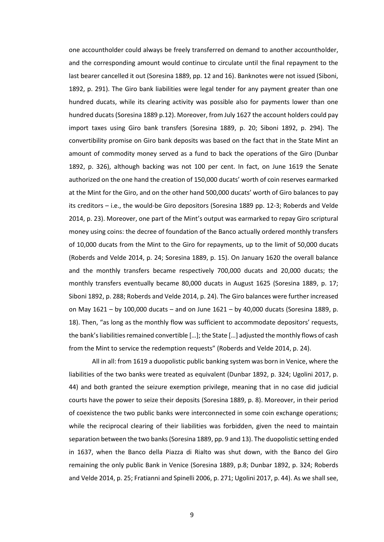one accountholder could always be freely transferred on demand to another accountholder, and the corresponding amount would continue to circulate until the final repayment to the last bearer cancelled it out (Soresina 1889, pp. 12 and 16). Banknotes were not issued (Siboni, 1892, p. 291). The Giro bank liabilities were legal tender for any payment greater than one hundred ducats, while its clearing activity was possible also for payments lower than one hundred ducats (Soresina 1889 p.12). Moreover, from July 1627 the account holders could pay import taxes using Giro bank transfers (Soresina 1889, p. 20; Siboni 1892, p. 294). The convertibility promise on Giro bank deposits was based on the fact that in the State Mint an amount of commodity money served as a fund to back the operations of the Giro (Dunbar 1892, p. 326), although backing was not 100 per cent. In fact, on June 1619 the Senate authorized on the one hand the creation of 150,000 ducats' worth of coin reserves earmarked at the Mint for the Giro, and on the other hand 500,000 ducats' worth of Giro balances to pay its creditors – i.e., the would-be Giro depositors (Soresina 1889 pp. 12-3; Roberds and Velde 2014, p. 23). Moreover, one part of the Mint's output was earmarked to repay Giro scriptural money using coins: the decree of foundation of the Banco actually ordered monthly transfers of 10,000 ducats from the Mint to the Giro for repayments, up to the limit of 50,000 ducats (Roberds and Velde 2014, p. 24; Soresina 1889, p. 15). On January 1620 the overall balance and the monthly transfers became respectively 700,000 ducats and 20,000 ducats; the monthly transfers eventually became 80,000 ducats in August 1625 (Soresina 1889, p. 17; Siboni 1892, p. 288; Roberds and Velde 2014, p. 24). The Giro balances were further increased on May  $1621 - by 100,000$  ducats – and on June  $1621 - by 40,000$  ducats (Soresina 1889, p. 18). Then, "as long as the monthly flow was sufficient to accommodate depositors' requests, the bank's liabilities remained convertible […]; the State […] adjusted the monthly flows of cash from the Mint to service the redemption requests" (Roberds and Velde 2014, p. 24).

All in all: from 1619 a duopolistic public banking system was born in Venice, where the liabilities of the two banks were treated as equivalent (Dunbar 1892, p. 324; Ugolini 2017, p. 44) and both granted the seizure exemption privilege, meaning that in no case did judicial courts have the power to seize their deposits (Soresina 1889, p. 8). Moreover, in their period of coexistence the two public banks were interconnected in some coin exchange operations; while the reciprocal clearing of their liabilities was forbidden, given the need to maintain separation between the two banks (Soresina 1889, pp. 9 and 13). The duopolistic setting ended in 1637, when the Banco della Piazza di Rialto was shut down, with the Banco del Giro remaining the only public Bank in Venice (Soresina 1889, p.8; Dunbar 1892, p. 324; Roberds and Velde 2014, p. 25; Fratianni and Spinelli 2006, p. 271; Ugolini 2017, p. 44). As we shall see,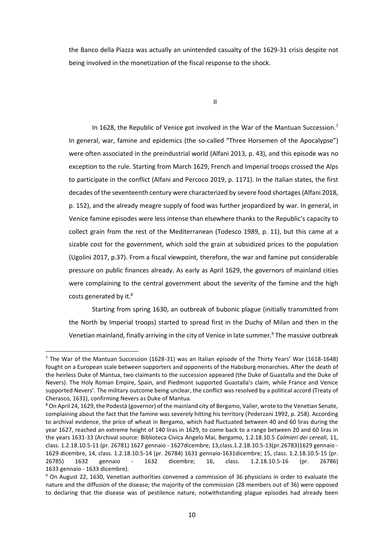the Banco della Piazza was actually an unintended casualty of the 1629-31 crisis despite not being involved in the monetization of the fiscal response to the shock.

II

In 1628, the Republic of Venice got involved in the War of the Mantuan Succession.<sup>7</sup> In general, war, famine and epidemics (the so-called "Three Horsemen of the Apocalypse") were often associated in the preindustrial world (Alfani 2013, p. 43), and this episode was no exception to the rule. Starting from March 1629, French and Imperial troops crossed the Alps to participate in the conflict (Alfani and Percoco 2019, p. 1171). In the Italian states, the first decades of the seventeenth century were characterized by severe food shortages (Alfani 2018, p. 152), and the already meagre supply of food was further jeopardized by war. In general, in Venice famine episodes were less intense than elsewhere thanks to the Republic's capacity to collect grain from the rest of the Mediterranean (Todesco 1989, p. 11), but this came at a sizable cost for the government, which sold the grain at subsidized prices to the population (Ugolini 2017, p.37). From a fiscal viewpoint, therefore, the war and famine put considerable pressure on public finances already. As early as April 1629, the governors of mainland cities were complaining to the central government about the severity of the famine and the high costs generated by it.<sup>8</sup>

Starting from spring 1630, an outbreak of bubonic plague (initially transmitted from the North by Imperial troops) started to spread first in the Duchy of Milan and then in the Venetian mainland, finally arriving in the city of Venice in late summer.<sup>9</sup> The massive outbreak

<sup>&</sup>lt;sup>7</sup> The War of the Mantuan Succession (1628-31) was an Italian episode of the Thirty Years' War (1618-1648) fought on a European scale between supporters and opponents of the Habsburg monarchies. After the death of the heirless Duke of Mantua, two claimants to the succession appeared (the Duke of Guastalla and the Duke of Nevers). The Holy Roman Empire, Spain, and Piedmont supported Guastalla's claim, while France and Venice supported Nevers'. The military outcome being unclear, the conflict was resolved by a political accord (Treaty of Cherasco, 1631), confirming Nevers as Duke of Mantua.

<sup>8</sup> On April 24, 1629, the Podestà (governor) of the mainland city of Bergamo, Valier, wrote to the Venetian Senate, complaining about the fact that the famine was severely hitting his territory (Pederzani 1992, p. 258). According to archival evidence, the price of wheat in Bergamo, which had fluctuated between 40 and 60 liras during the year 1627, reached an extreme height of 140 liras in 1629, to come back to a range between 20 and 60 liras in the years 1631-33 (Archival source: Biblioteca Civica Angelo Mai, Bergamo, 1.2.18.10.5 *Calmieri dei cereali*, 11, class. 1.2.18.10.5-11 (pr. 26781) 1627 gennaio - 1627dicembre; 13,class.1.2.18.10.5-13(pr.26783)1629 gennaio - 1629 dicembre, 14, class. 1.2.18.10.5-14 (pr. 26784) 1631 gennaio-1631dicembre; 15, class. 1.2.18.10.5-15 (pr. 26785) 1632 gennaio - 1632 dicembre; 16, class. 1.2.18.10.5-16 (pr. 26786) 1633 gennaio - 1633 dicembre).

<sup>9</sup> On August 22, 1630, Venetian authorities convened a commission of 36 physicians in order to evaluate the nature and the diffusion of the disease; the majority of the commission (28 members out of 36) were opposed to declaring that the disease was of pestilence nature, notwithstanding plague episodes had already been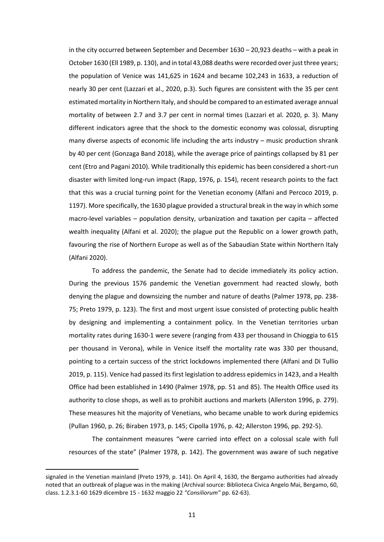in the city occurred between September and December 1630 – 20,923 deaths – with a peak in October 1630 (Ell 1989, p. 130), and in total 43,088 deaths were recorded over just three years; the population of Venice was 141,625 in 1624 and became 102,243 in 1633, a reduction of nearly 30 per cent (Lazzari et al., 2020, p.3). Such figures are consistent with the 35 per cent estimated mortality in Northern Italy, and should be compared to an estimated average annual mortality of between 2.7 and 3.7 per cent in normal times (Lazzari et al. 2020, p. 3). Many different indicators agree that the shock to the domestic economy was colossal, disrupting many diverse aspects of economic life including the arts industry – music production shrank by 40 per cent (Gonzaga Band 2018), while the average price of paintings collapsed by 81 per cent (Etro and Pagani 2010). While traditionally this epidemic has been considered a short-run disaster with limited long-run impact (Rapp, 1976, p. 154), recent research points to the fact that this was a crucial turning point for the Venetian economy (Alfani and Percoco 2019, p. 1197). More specifically, the 1630 plague provided a structural break in the way in which some macro-level variables – population density, urbanization and taxation per capita – affected wealth inequality (Alfani et al. 2020); the plague put the Republic on a lower growth path, favouring the rise of Northern Europe as well as of the Sabaudian State within Northern Italy (Alfani 2020).

To address the pandemic, the Senate had to decide immediately its policy action. During the previous 1576 pandemic the Venetian government had reacted slowly, both denying the plague and downsizing the number and nature of deaths (Palmer 1978, pp. 238- 75; Preto 1979, p. 123). The first and most urgent issue consisted of protecting public health by designing and implementing a containment policy. In the Venetian territories urban mortality rates during 1630-1 were severe (ranging from 433 per thousand in Chioggia to 615 per thousand in Verona), while in Venice itself the mortality rate was 330 per thousand, pointing to a certain success of the strict lockdowns implemented there (Alfani and Di Tullio 2019, p. 115). Venice had passed its first legislation to address epidemics in 1423, and a Health Office had been established in 1490 (Palmer 1978, pp. 51 and 85). The Health Office used its authority to close shops, as well as to prohibit auctions and markets (Allerston 1996, p. 279). These measures hit the majority of Venetians, who became unable to work during epidemics (Pullan 1960, p. 26; Biraben 1973, p. 145; Cipolla 1976, p. 42; Allerston 1996, pp. 292-5).

The containment measures "were carried into effect on a colossal scale with full resources of the state" (Palmer 1978, p. 142). The government was aware of such negative

signaled in the Venetian mainland (Preto 1979, p. 141). On April 4, 1630, the Bergamo authorities had already noted that an outbreak of plague was in the making (Archival source: Biblioteca Civica Angelo Mai, Bergamo, 60, class. 1.2.3.1-60 1629 dicembre 15 - 1632 maggio 22 *"Consiliorum"* pp. 62-63).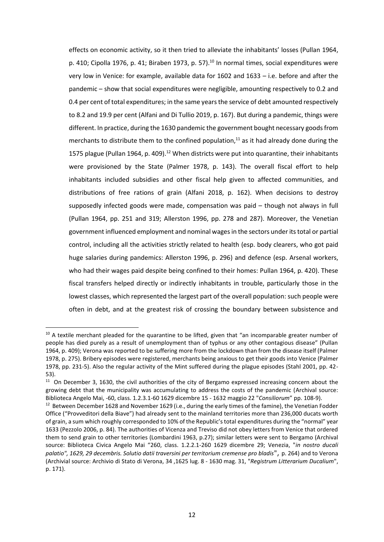effects on economic activity, so it then tried to alleviate the inhabitants' losses (Pullan 1964, p. 410; Cipolla 1976, p. 41; Biraben 1973, p. 57). $^{10}$  In normal times, social expenditures were very low in Venice: for example, available data for 1602 and 1633 – i.e. before and after the pandemic – show that social expenditures were negligible, amounting respectively to 0.2 and 0.4 per cent of total expenditures; in the same years the service of debt amounted respectively to 8.2 and 19.9 per cent (Alfani and Di Tullio 2019, p. 167). But during a pandemic, things were different. In practice, during the 1630 pandemic the government bought necessary goods from merchants to distribute them to the confined population,<sup>11</sup> as it had already done during the 1575 plague (Pullan 1964, p. 409).<sup>12</sup> When districts were put into quarantine, their inhabitants were provisioned by the State (Palmer 1978, p. 143). The overall fiscal effort to help inhabitants included subsidies and other fiscal help given to affected communities, and distributions of free rations of grain (Alfani 2018, p. 162). When decisions to destroy supposedly infected goods were made, compensation was paid – though not always in full (Pullan 1964, pp. 251 and 319; Allerston 1996, pp. 278 and 287). Moreover, the Venetian government influenced employment and nominal wages in the sectors under its total or partial control, including all the activities strictly related to health (esp. body clearers, who got paid huge salaries during pandemics: Allerston 1996, p. 296) and defence (esp. Arsenal workers, who had their wages paid despite being confined to their homes: Pullan 1964, p. 420). These fiscal transfers helped directly or indirectly inhabitants in trouble, particularly those in the lowest classes, which represented the largest part of the overall population: such people were often in debt, and at the greatest risk of crossing the boundary between subsistence and

 $\overline{a}$ 

<sup>&</sup>lt;sup>10</sup> A textile merchant pleaded for the quarantine to be lifted, given that "an incomparable greater number of people has died purely as a result of unemployment than of typhus or any other contagious disease" (Pullan 1964, p. 409); Verona was reported to be suffering more from the lockdown than from the disease itself (Palmer 1978, p. 275). Bribery episodes were registered, merchants being anxious to get their goods into Venice (Palmer 1978, pp. 231-5). Also the regular activity of the Mint suffered during the plague episodes (Stahl 2001, pp. 42- 53).

<sup>&</sup>lt;sup>11</sup> On December 3, 1630, the civil authorities of the city of Bergamo expressed increasing concern about the growing debt that the municipality was accumulating to address the costs of the pandemic (Archival source: Biblioteca Angelo Mai, -60, class. 1.2.3.1-60 1629 dicembre 15 - 1632 maggio 22 "*Consiliorum*" pp. 108-9).

<sup>&</sup>lt;sup>12</sup> Between December 1628 and November 1629 (i.e., during the early times of the famine), the Venetian Fodder Office ("Provveditori della Biave") had already sent to the mainland territories more than 236,000 ducats worth of grain, a sum which roughly corresponded to 10% of the Republic's total expenditures during the "normal" year 1633 (Pezzolo 2006, p. 84). The authorities of Vicenza and Treviso did not obey letters from Venice that ordered them to send grain to other territories (Lombardini 1963, p.27); similar letters were sent to Bergamo (Archival source: Biblioteca Civica Angelo Mai "260, class. 1.2.2.1-260 1629 dicembre 29; Venezia, "*in nostro ducali palatio", 1629, 29 decembris. Solutio datii traversini per territorium cremense pro bladis*", p. 264) and to Verona (Archivial source: Archivio di Stato di Verona, 34 ,1625 lug. 8 - 1630 mag. 31, "*Registrum Litterarium Ducalium*", p. 171).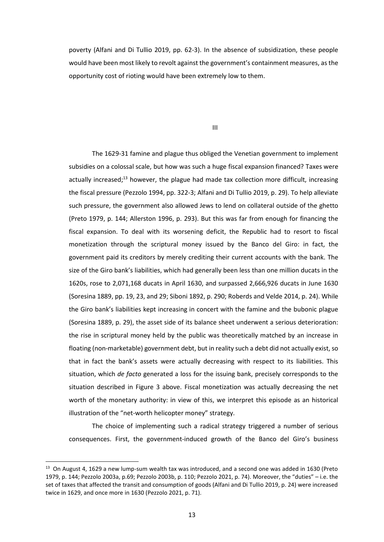poverty (Alfani and Di Tullio 2019, pp. 62-3). In the absence of subsidization, these people would have been most likely to revolt against the government's containment measures, as the opportunity cost of rioting would have been extremely low to them.

III

The 1629-31 famine and plague thus obliged the Venetian government to implement subsidies on a colossal scale, but how was such a huge fiscal expansion financed? Taxes were actually increased;<sup>13</sup> however, the plague had made tax collection more difficult, increasing the fiscal pressure (Pezzolo 1994, pp. 322-3; Alfani and Di Tullio 2019, p. 29). To help alleviate such pressure, the government also allowed Jews to lend on collateral outside of the ghetto (Preto 1979, p. 144; Allerston 1996, p. 293). But this was far from enough for financing the fiscal expansion. To deal with its worsening deficit, the Republic had to resort to fiscal monetization through the scriptural money issued by the Banco del Giro: in fact, the government paid its creditors by merely crediting their current accounts with the bank. The size of the Giro bank's liabilities, which had generally been less than one million ducats in the 1620s, rose to 2,071,168 ducats in April 1630, and surpassed 2,666,926 ducats in June 1630 (Soresina 1889, pp. 19, 23, and 29; Siboni 1892, p. 290; Roberds and Velde 2014, p. 24). While the Giro bank's liabilities kept increasing in concert with the famine and the bubonic plague (Soresina 1889, p. 29), the asset side of its balance sheet underwent a serious deterioration: the rise in scriptural money held by the public was theoretically matched by an increase in floating (non-marketable) government debt, but in reality such a debt did not actually exist, so that in fact the bank's assets were actually decreasing with respect to its liabilities. This situation, which *de facto* generated a loss for the issuing bank, precisely corresponds to the situation described in Figure 3 above. Fiscal monetization was actually decreasing the net worth of the monetary authority: in view of this, we interpret this episode as an historical illustration of the "net-worth helicopter money" strategy.

The choice of implementing such a radical strategy triggered a number of serious consequences. First, the government-induced growth of the Banco del Giro's business

<sup>&</sup>lt;sup>13</sup> On August 4, 1629 a new lump-sum wealth tax was introduced, and a second one was added in 1630 (Preto 1979, p. 144; Pezzolo 2003a, p.69; Pezzolo 2003b, p. 110; Pezzolo 2021, p. 74). Moreover, the "duties" – i.e. the set of taxes that affected the transit and consumption of goods (Alfani and Di Tullio 2019, p. 24) were increased twice in 1629, and once more in 1630 (Pezzolo 2021, p. 71).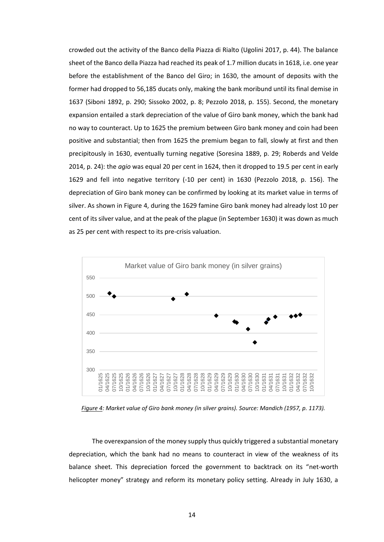crowded out the activity of the Banco della Piazza di Rialto (Ugolini 2017, p. 44). The balance sheet of the Banco della Piazza had reached its peak of 1.7 million ducats in 1618, i.e. one year before the establishment of the Banco del Giro; in 1630, the amount of deposits with the former had dropped to 56,185 ducats only, making the bank moribund until its final demise in 1637 (Siboni 1892, p. 290; Sissoko 2002, p. 8; Pezzolo 2018, p. 155). Second, the monetary expansion entailed a stark depreciation of the value of Giro bank money, which the bank had no way to counteract. Up to 1625 the premium between Giro bank money and coin had been positive and substantial; then from 1625 the premium began to fall, slowly at first and then precipitously in 1630, eventually turning negative (Soresina 1889, p. 29; Roberds and Velde 2014, p. 24): the *agio* was equal 20 per cent in 1624, then it dropped to 19.5 per cent in early 1629 and fell into negative territory (-10 per cent) in 1630 (Pezzolo 2018, p. 156). The depreciation of Giro bank money can be confirmed by looking at its market value in terms of silver. As shown in Figure 4, during the 1629 famine Giro bank money had already lost 10 per cent of its silver value, and at the peak of the plague (in September 1630) it was down as much as 25 per cent with respect to its pre-crisis valuation.



*Figure 4: Market value of Giro bank money (in silver grains). Source: Mandich (1957, p. 1173).*

The overexpansion of the money supply thus quickly triggered a substantial monetary depreciation, which the bank had no means to counteract in view of the weakness of its balance sheet. This depreciation forced the government to backtrack on its "net-worth helicopter money" strategy and reform its monetary policy setting. Already in July 1630, a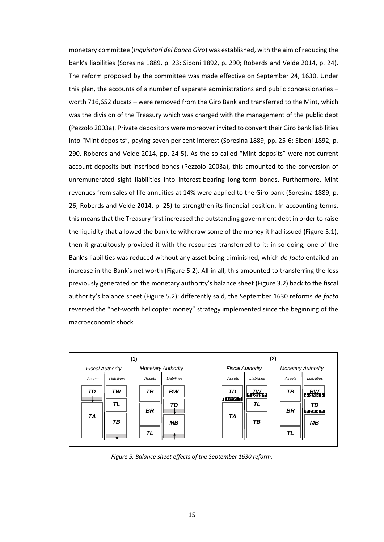monetary committee (*Inquisitori del Banco Giro*) was established, with the aim of reducing the bank's liabilities (Soresina 1889, p. 23; Siboni 1892, p. 290; Roberds and Velde 2014, p. 24). The reform proposed by the committee was made effective on September 24, 1630. Under this plan, the accounts of a number of separate administrations and public concessionaries – worth 716,652 ducats – were removed from the Giro Bank and transferred to the Mint, which was the division of the Treasury which was charged with the management of the public debt (Pezzolo 2003a). Private depositors were moreover invited to convert their Giro bank liabilities into "Mint deposits", paying seven per cent interest (Soresina 1889, pp. 25-6; Siboni 1892, p. 290, Roberds and Velde 2014, pp. 24-5). As the so-called "Mint deposits" were not current account deposits but inscribed bonds (Pezzolo 2003a), this amounted to the conversion of unremunerated sight liabilities into interest-bearing long-term bonds. Furthermore, Mint revenues from sales of life annuities at 14% were applied to the Giro bank (Soresina 1889, p. 26; Roberds and Velde 2014, p. 25) to strengthen its financial position. In accounting terms, this means that the Treasury first increased the outstanding government debt in order to raise the liquidity that allowed the bank to withdraw some of the money it had issued (Figure 5.1), then it gratuitously provided it with the resources transferred to it: in so doing, one of the Bank's liabilities was reduced without any asset being diminished, which *de facto* entailed an increase in the Bank's net worth (Figure 5.2). All in all, this amounted to transferring the loss previously generated on the monetary authority's balance sheet (Figure 3.2) back to the fiscal authority's balance sheet (Figure 5.2): differently said, the September 1630 reforms *de facto* reversed the "net-worth helicopter money" strategy implemented since the beginning of the macroeconomic shock.



*Figure 5. Balance sheet effects of the September 1630 reform.*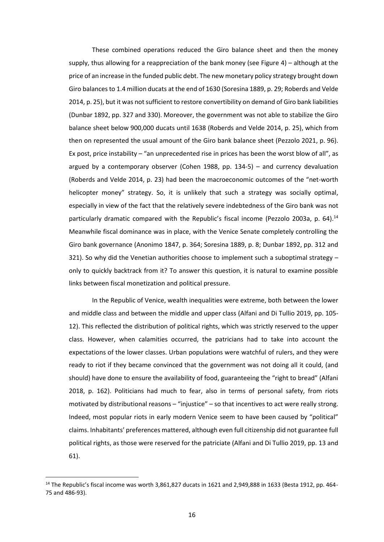These combined operations reduced the Giro balance sheet and then the money supply, thus allowing for a reappreciation of the bank money (see Figure 4) – although at the price of an increase in the funded public debt. The new monetary policy strategy brought down Giro balances to 1.4 million ducats at the end of 1630 (Soresina 1889, p. 29; Roberds and Velde 2014, p. 25), but it was not sufficient to restore convertibility on demand of Giro bank liabilities (Dunbar 1892, pp. 327 and 330). Moreover, the government was not able to stabilize the Giro balance sheet below 900,000 ducats until 1638 (Roberds and Velde 2014, p. 25), which from then on represented the usual amount of the Giro bank balance sheet (Pezzolo 2021, p. 96). Ex post, price instability – "an unprecedented rise in prices has been the worst blow of all", as argued by a contemporary observer (Cohen 1988, pp. 134-5) – and currency devaluation (Roberds and Velde 2014, p. 23) had been the macroeconomic outcomes of the "net-worth helicopter money" strategy. So, it is unlikely that such a strategy was socially optimal, especially in view of the fact that the relatively severe indebtedness of the Giro bank was not particularly dramatic compared with the Republic's fiscal income (Pezzolo 2003a, p. 64).<sup>14</sup> Meanwhile fiscal dominance was in place, with the Venice Senate completely controlling the Giro bank governance (Anonimo 1847, p. 364; Soresina 1889, p. 8; Dunbar 1892, pp. 312 and 321). So why did the Venetian authorities choose to implement such a suboptimal strategy  $$ only to quickly backtrack from it? To answer this question, it is natural to examine possible links between fiscal monetization and political pressure.

In the Republic of Venice, wealth inequalities were extreme, both between the lower and middle class and between the middle and upper class (Alfani and Di Tullio 2019, pp. 105- 12). This reflected the distribution of political rights, which was strictly reserved to the upper class. However, when calamities occurred, the patricians had to take into account the expectations of the lower classes. Urban populations were watchful of rulers, and they were ready to riot if they became convinced that the government was not doing all it could, (and should) have done to ensure the availability of food, guaranteeing the "right to bread" (Alfani 2018, p. 162). Politicians had much to fear, also in terms of personal safety, from riots motivated by distributional reasons – "injustice" – so that incentives to act were really strong. Indeed, most popular riots in early modern Venice seem to have been caused by "political" claims. Inhabitants' preferences mattered, although even full citizenship did not guarantee full political rights, as those were reserved for the patriciate (Alfani and Di Tullio 2019, pp. 13 and 61).

<sup>&</sup>lt;sup>14</sup> The Republic's fiscal income was worth 3,861,827 ducats in 1621 and 2,949,888 in 1633 (Besta 1912, pp. 464-75 and 486-93).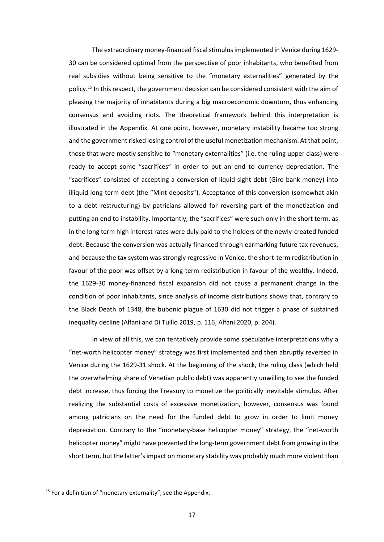The extraordinary money-financed fiscal stimulusimplemented in Venice during 1629- 30 can be considered optimal from the perspective of poor inhabitants, who benefited from real subsidies without being sensitive to the "monetary externalities" generated by the policy. <sup>15</sup> In this respect, the government decision can be considered consistent with the aim of pleasing the majority of inhabitants during a big macroeconomic downturn, thus enhancing consensus and avoiding riots. The theoretical framework behind this interpretation is illustrated in the Appendix. At one point, however, monetary instability became too strong and the government risked losing control of the useful monetization mechanism. At that point, those that were mostly sensitive to "monetary externalities" (i.e. the ruling upper class) were ready to accept some "sacrifices" in order to put an end to currency depreciation. The "sacrifices" consisted of accepting a conversion of liquid sight debt (Giro bank money) into illiquid long-term debt (the "Mint deposits"). Acceptance of this conversion (somewhat akin to a debt restructuring) by patricians allowed for reversing part of the monetization and putting an end to instability. Importantly, the "sacrifices" were such only in the short term, as in the long term high interest rates were duly paid to the holders of the newly-created funded debt. Because the conversion was actually financed through earmarking future tax revenues, and because the tax system was strongly regressive in Venice, the short-term redistribution in favour of the poor was offset by a long-term redistribution in favour of the wealthy. Indeed, the 1629-30 money-financed fiscal expansion did not cause a permanent change in the condition of poor inhabitants, since analysis of income distributions shows that, contrary to the Black Death of 1348, the bubonic plague of 1630 did not trigger a phase of sustained inequality decline (Alfani and Di Tullio 2019, p. 116; Alfani 2020, p. 204).

In view of all this, we can tentatively provide some speculative interpretations why a "net-worth helicopter money" strategy was first implemented and then abruptly reversed in Venice during the 1629-31 shock. At the beginning of the shock, the ruling class (which held the overwhelming share of Venetian public debt) was apparently unwilling to see the funded debt increase, thus forcing the Treasury to monetize the politically inevitable stimulus. After realizing the substantial costs of excessive monetization, however, consensus was found among patricians on the need for the funded debt to grow in order to limit money depreciation. Contrary to the "monetary-base helicopter money" strategy, the "net-worth helicopter money" might have prevented the long-term government debt from growing in the short term, but the latter's impact on monetary stability was probably much more violent than

<sup>&</sup>lt;sup>15</sup> For a definition of "monetary externality", see the Appendix.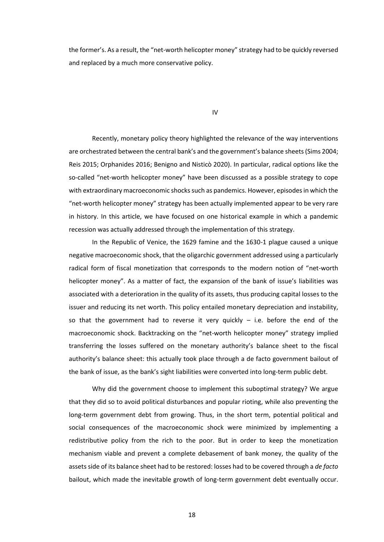the former's. As a result, the "net-worth helicopter money" strategy had to be quickly reversed and replaced by a much more conservative policy.

IV

Recently, monetary policy theory highlighted the relevance of the way interventions are orchestrated between the central bank's and the government's balance sheets (Sims 2004; Reis 2015; Orphanides 2016; Benigno and Nisticò 2020). In particular, radical options like the so-called "net-worth helicopter money" have been discussed as a possible strategy to cope with extraordinary macroeconomic shocks such as pandemics. However, episodes in which the "net-worth helicopter money" strategy has been actually implemented appear to be very rare in history. In this article, we have focused on one historical example in which a pandemic recession was actually addressed through the implementation of this strategy.

In the Republic of Venice, the 1629 famine and the 1630-1 plague caused a unique negative macroeconomic shock, that the oligarchic government addressed using a particularly radical form of fiscal monetization that corresponds to the modern notion of "net-worth helicopter money". As a matter of fact, the expansion of the bank of issue's liabilities was associated with a deterioration in the quality of its assets, thus producing capital losses to the issuer and reducing its net worth. This policy entailed monetary depreciation and instability, so that the government had to reverse it very quickly – i.e. before the end of the macroeconomic shock. Backtracking on the "net-worth helicopter money" strategy implied transferring the losses suffered on the monetary authority's balance sheet to the fiscal authority's balance sheet: this actually took place through a de facto government bailout of the bank of issue, as the bank's sight liabilities were converted into long-term public debt.

Why did the government choose to implement this suboptimal strategy? We argue that they did so to avoid political disturbances and popular rioting, while also preventing the long-term government debt from growing. Thus, in the short term, potential political and social consequences of the macroeconomic shock were minimized by implementing a redistributive policy from the rich to the poor. But in order to keep the monetization mechanism viable and prevent a complete debasement of bank money, the quality of the assets side of its balance sheet had to be restored: losses had to be covered through a *de facto* bailout, which made the inevitable growth of long-term government debt eventually occur.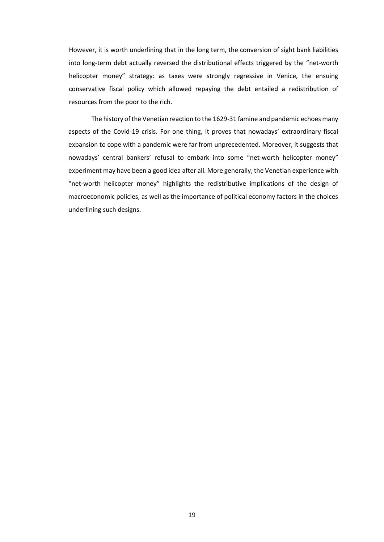However, it is worth underlining that in the long term, the conversion of sight bank liabilities into long-term debt actually reversed the distributional effects triggered by the "net-worth helicopter money" strategy: as taxes were strongly regressive in Venice, the ensuing conservative fiscal policy which allowed repaying the debt entailed a redistribution of resources from the poor to the rich.

The history of the Venetian reaction to the 1629-31 famine and pandemic echoes many aspects of the Covid-19 crisis. For one thing, it proves that nowadays' extraordinary fiscal expansion to cope with a pandemic were far from unprecedented. Moreover, it suggests that nowadays' central bankers' refusal to embark into some "net-worth helicopter money" experiment may have been a good idea after all. More generally, the Venetian experience with "net-worth helicopter money" highlights the redistributive implications of the design of macroeconomic policies, as well as the importance of political economy factors in the choices underlining such designs.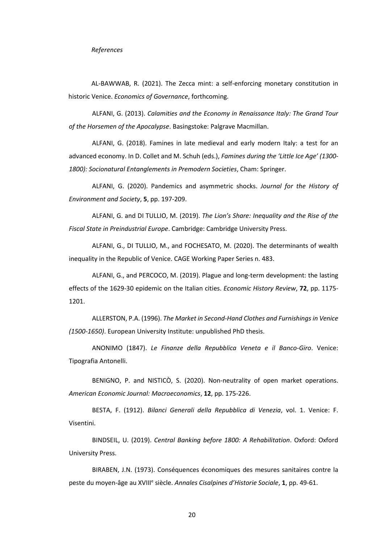AL-BAWWAB, R. (2021). The Zecca mint: a self-enforcing monetary constitution in historic Venice. *Economics of Governance*, forthcoming.

ALFANI, G. (2013). *Calamities and the Economy in Renaissance Italy: The Grand Tour of the Horsemen of the Apocalypse*. Basingstoke: Palgrave Macmillan.

ALFANI, G. (2018). Famines in late medieval and early modern Italy: a test for an advanced economy. In D. Collet and M. Schuh (eds.), *Famines during the 'Little Ice Age' (1300- 1800): Socionatural Entanglements in Premodern Societies*, Cham: Springer.

ALFANI, G. (2020). Pandemics and asymmetric shocks. *Journal for the History of Environment and Society*, **5**, pp. 197-209.

ALFANI, G. and DI TULLIO, M. (2019). *The Lion's Share: Inequality and the Rise of the Fiscal State in Preindustrial Europe*. Cambridge: Cambridge University Press.

ALFANI, G., DI TULLIO, M., and FOCHESATO, M. (2020). The determinants of wealth inequality in the Republic of Venice. CAGE Working Paper Series n. 483.

ALFANI, G., and PERCOCO, M. (2019). Plague and long-term development: the lasting effects of the 1629-30 epidemic on the Italian cities. *Economic History Review*, **72**, pp. 1175- 1201.

ALLERSTON, P.A. (1996). *The Market in Second-Hand Clothes and Furnishings in Venice (1500-1650)*. European University Institute: unpublished PhD thesis.

ANONIMO (1847). *Le Finanze della Repubblica Veneta e il Banco-Giro*. Venice: Tipografia Antonelli.

BENIGNO, P. and NISTICÒ, S. (2020). Non-neutrality of open market operations. *American Economic Journal: Macroeconomics*, **12**, pp. 175-226.

BESTA, F. (1912). *Bilanci Generali della Repubblica di Venezia*, vol. 1. Venice: F. Visentini.

BINDSEIL, U. (2019). *Central Banking before 1800: A Rehabilitation*. Oxford: Oxford University Press.

BIRABEN, J.N. (1973). Conséquences économiques des mesures sanitaires contre la peste du moyen-âge au XVIII<sup>e</sup> siècle. Annales Cisalpines d'Historie Sociale, 1, pp. 49-61.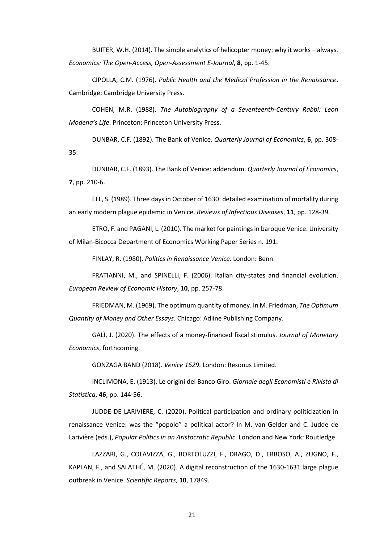BUITER, W.H. (2014). The simple analytics of helicopter money: why it works – always*. Economics: The Open-Access, Open-Assessment E-Journal*, **8**, pp. 1-45.

CIPOLLA, C.M. (1976). *Public Health and the Medical Profession in the Renaissance*. Cambridge: Cambridge University Press.

COHEN, M.R. (1988). *The Autobiography of a Seventeenth-Century Rabbi: Leon Modena's Life*. Princeton: Princeton University Press.

DUNBAR, C.F. (1892). The Bank of Venice. *Quarterly Journal of Economics*, **6**, pp. 308- 35.

DUNBAR, C.F. (1893). The Bank of Venice: addendum. *Quarterly Journal of Economics*, **7**, pp. 210-6.

ELL, S. (1989). Three days in October of 1630: detailed examination of mortality during an early modern plague epidemic in Venice. *Reviews of Infectious Diseases*, **11**, pp. 128-39.

ETRO, F. and PAGANI, L. (2010). The market for paintings in baroque Venice. University of Milan-Bicocca Department of Economics Working Paper Series n. 191.

FINLAY, R. (1980). *Politics in Renaissance Venice*. London: Benn.

FRATIANNI, M., and SPINELLI, F. (2006). Italian city-states and financial evolution. *European Review of Economic History*, **10**, pp. 257-78.

FRIEDMAN, M. (1969). The optimum quantity of money. In M. Friedman, *The Optimum Quantity of Money and Other Essays*. Chicago: Adline Publishing Company.

GALÌ, J. (2020). The effects of a money-financed fiscal stimulus. *Journal of Monetary Economics*, forthcoming.

GONZAGA BAND (2018). *Venice 1629*. London: Resonus Limited.

INCLIMONA, E. (1913). Le origini del Banco Giro. *Giornale degli Economisti e Rivista di Statistica*, **46**, pp. 144-56.

JUDDE DE LARIVIÈRE, C. (2020). Political participation and ordinary politicization in renaissance Venice: was the "popolo" a political actor? In M. van Gelder and C. Judde de Larivière (eds.), *Popular Politics in an Aristocratic Republic*. London and New York: Routledge.

LAZZARI, G., COLAVIZZA, G., BORTOLUZZI, F., DRAGO, D., ERBOSO, A., ZUGNO, F., KAPLAN, F., and SALATHÉ, M. (2020). A digital reconstruction of the 1630-1631 large plague outbreak in Venice. *Scientific Reports*, **10**, 17849.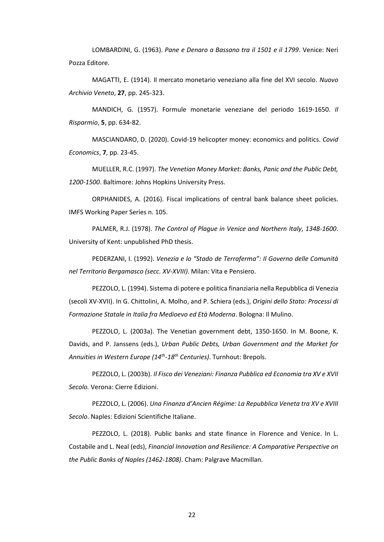LOMBARDINI, G. (1963). *Pane e Denaro a Bassano tra il 1501 e il 1799*. Venice: Neri Pozza Editore.

MAGATTI, E. (1914). Il mercato monetario veneziano alla fine del XVI secolo. *Nuovo Archivio Veneto*, **27**, pp. 245-323.

MANDICH, G. (1957). Formule monetarie veneziane del periodo 1619-1650. *Il Risparmio*, **5**, pp. 634-82.

MASCIANDARO, D. (2020). Covid-19 helicopter money: economics and politics. *Covid Economics*, **7**, pp. 23-45.

MUELLER, R.C. (1997). *The Venetian Money Market: Banks, Panic and the Public Debt, 1200-1500*. Baltimore: Johns Hopkins University Press.

ORPHANIDES, A. (2016). Fiscal implications of central bank balance sheet policies. IMFS Working Paper Series n. 105.

PALMER, R.J. (1978). *The Control of Plague in Venice and Northern Italy, 1348-1600*. University of Kent: unpublished PhD thesis.

PEDERZANI, I. (1992). *Venezia e lo "Stado de Terraferma": Il Governo delle Comunità nel Territorio Bergamasco (secc. XV-XVIII)*. Milan: Vita e Pensiero.

PEZZOLO, L. (1994). Sistema di potere e politica finanziaria nella Repubblica di Venezia (secoli XV-XVII). In G. Chittolini, A. Molho, and P. Schiera (eds.), *Origini dello Stato: Processi di Formazione Statale in Italia fra Medioevo ed Età Moderna*. Bologna: Il Mulino.

PEZZOLO, L. (2003a). The Venetian government debt, 1350-1650. In M. Boone, K. Davids, and P. Janssens (eds.), *Urban Public Debts, Urban Government and the Market for Annuities in Western Europe (14th -18th Centuries)*. Turnhout: Brepols.

PEZZOLO, L. (2003b). *Il Fisco dei Veneziani: Finanza Pubblica ed Economia tra XV e XVII Secolo.* Verona: Cierre Edizioni.

PEZZOLO, L. (2006). *Una Finanza d'Ancien Régime: La Repubblica Veneta tra XV e XVIII Secolo*. Naples: Edizioni Scientifiche Italiane.

PEZZOLO, L. (2018). Public banks and state finance in Florence and Venice. In L. Costabile and L. Neal (eds), *Financial Innovation and Resilience: A Comparative Perspective on the Public Banks of Naples (1462-1808)*. Cham: Palgrave Macmillan.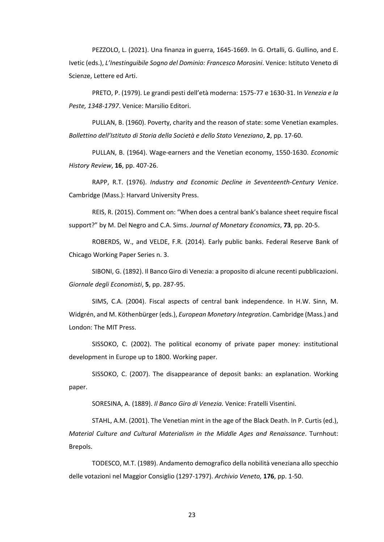PEZZOLO, L. (2021). Una finanza in guerra, 1645-1669. In G. Ortalli, G. Gullino, and E. Ivetic (eds.), *L'Inestinguibile Sogno del Dominio: Francesco Morosini*. Venice: Istituto Veneto di Scienze, Lettere ed Arti.

PRETO, P. (1979). Le grandi pesti dell'età moderna: 1575-77 e 1630-31. In *Venezia e la Peste, 1348-1797*. Venice: Marsilio Editori.

PULLAN, B. (1960). Poverty, charity and the reason of state: some Venetian examples. *Bollettino dell'Istituto di Storia della Società e dello Stato Veneziano*, **2**, pp. 17-60.

PULLAN, B. (1964). Wage-earners and the Venetian economy, 1550-1630. *Economic History Review*, **16**, pp. 407-26.

RAPP, R.T. (1976). *Industry and Economic Decline in Seventeenth-Century Venice*. Cambridge (Mass.): Harvard University Press.

REIS, R. (2015). Comment on: "When does a central bank's balance sheet require fiscal support?" by M. Del Negro and C.A. Sims. *Journal of Monetary Economics*, **73**, pp. 20-5.

ROBERDS, W., and VELDE, F.R. (2014). Early public banks. Federal Reserve Bank of Chicago Working Paper Series n. 3.

SIBONI, G. (1892). Il Banco Giro di Venezia: a proposito di alcune recenti pubblicazioni. *Giornale degli Economisti*, **5**, pp. 287-95.

SIMS, C.A. (2004). Fiscal aspects of central bank independence. In H.W. Sinn, M. Widgrén, and M. Köthenbürger (eds.), *European Monetary Integration*. Cambridge (Mass.) and London: The MIT Press.

SISSOKO, C. (2002). The political economy of private paper money: institutional development in Europe up to 1800. Working paper.

SISSOKO, C. (2007). The disappearance of deposit banks: an explanation. Working paper.

SORESINA, A. (1889). *Il Banco Giro di Venezia*. Venice: Fratelli Visentini.

STAHL, A.M. (2001). The Venetian mint in the age of the Black Death. In P. Curtis (ed.), *Material Culture and Cultural Materialism in the Middle Ages and Renaissance*. Turnhout: Brepols.

TODESCO, M.T. (1989). Andamento demografico della nobilità veneziana allo specchio delle votazioni nel Maggior Consiglio (1297-1797). *Archivio Veneto,* **176**, pp. 1-50.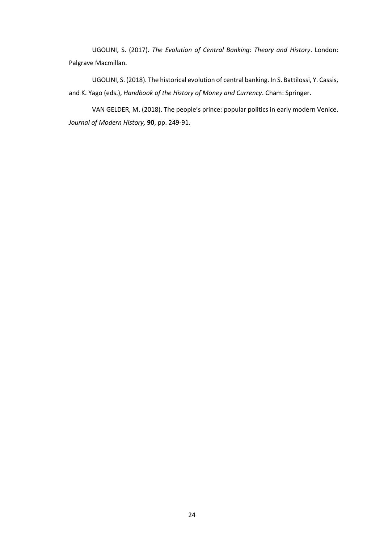UGOLINI, S. (2017). *The Evolution of Central Banking: Theory and History*. London: Palgrave Macmillan.

UGOLINI, S. (2018). The historical evolution of central banking. In S. Battilossi, Y. Cassis, and K. Yago (eds.), *Handbook of the History of Money and Currency*. Cham: Springer.

VAN GELDER, M. (2018). The people's prince: popular politics in early modern Venice. *Journal of Modern History,* **90**, pp. 249-91.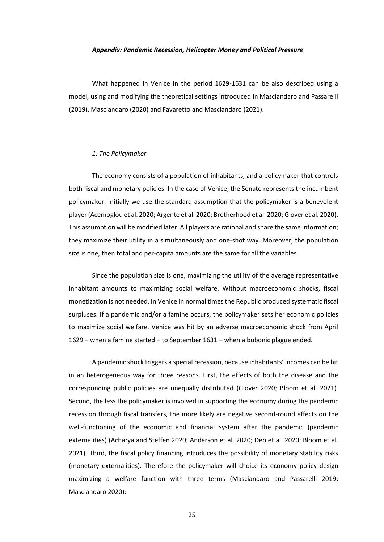#### *Appendix: Pandemic Recession, Helicopter Money and Political Pressure*

What happened in Venice in the period 1629-1631 can be also described using a model, using and modifying the theoretical settings introduced in Masciandaro and Passarelli (2019), Masciandaro (2020) and Favaretto and Masciandaro (2021).

## *1. The Policymaker*

The economy consists of a population of inhabitants, and a policymaker that controls both fiscal and monetary policies. In the case of Venice, the Senate represents the incumbent policymaker. Initially we use the standard assumption that the policymaker is a benevolent player (Acemoglou et al. 2020; Argente et al. 2020; Brotherhood et al. 2020; Glover et al. 2020). This assumption will be modified later. All players are rational and share the same information; they maximize their utility in a simultaneously and one-shot way. Moreover, the population size is one, then total and per-capita amounts are the same for all the variables.

Since the population size is one, maximizing the utility of the average representative inhabitant amounts to maximizing social welfare. Without macroeconomic shocks, fiscal monetization is not needed. In Venice in normal times the Republic produced systematic fiscal surpluses. If a pandemic and/or a famine occurs, the policymaker sets her economic policies to maximize social welfare. Venice was hit by an adverse macroeconomic shock from April 1629 – when a famine started – to September 1631 – when a bubonic plague ended.

A pandemic shock triggers a special recession, because inhabitants' incomes can be hit in an heterogeneous way for three reasons. First, the effects of both the disease and the corresponding public policies are unequally distributed (Glover 2020; Bloom et al. 2021). Second, the less the policymaker is involved in supporting the economy during the pandemic recession through fiscal transfers, the more likely are negative second-round effects on the well-functioning of the economic and financial system after the pandemic (pandemic externalities) (Acharya and Steffen 2020; Anderson et al. 2020; Deb et al. 2020; Bloom et al. 2021). Third, the fiscal policy financing introduces the possibility of monetary stability risks (monetary externalities). Therefore the policymaker will choice its economy policy design maximizing a welfare function with three terms (Masciandaro and Passarelli 2019; Masciandaro 2020):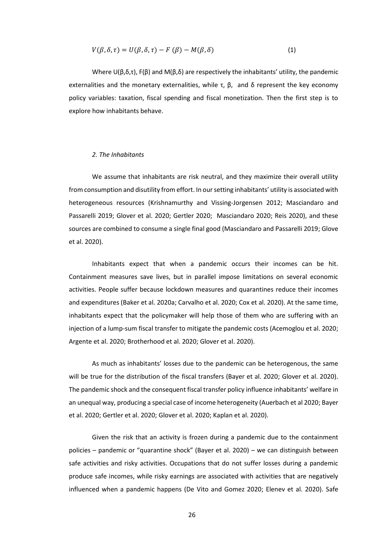$$
V(\beta, \delta, \tau) = U(\beta, \delta, \tau) - F(\beta) - M(\beta, \delta)
$$
\n(1)

Where  $U(\beta, \delta, \tau)$ , F(β) and M( $\beta, \delta$ ) are respectively the inhabitants' utility, the pandemic externalities and the monetary externalities, while τ,  $\beta$ , and  $\delta$  represent the key economy policy variables: taxation, fiscal spending and fiscal monetization. Then the first step is to explore how inhabitants behave.

## *2. The Inhabitants*

We assume that inhabitants are risk neutral, and they maximize their overall utility from consumption and disutility from effort. In our setting inhabitants' utility is associated with heterogeneous resources (Krishnamurthy and Vissing-Jorgensen 2012; Masciandaro and Passarelli 2019; Glover et al. 2020; Gertler 2020; Masciandaro 2020; Reis 2020), and these sources are combined to consume a single final good (Masciandaro and Passarelli 2019; Glove et al. 2020).

Inhabitants expect that when a pandemic occurs their incomes can be hit. Containment measures save lives, but in parallel impose limitations on several economic activities. People suffer because lockdown measures and quarantines reduce their incomes and expenditures (Baker et al. 2020a; Carvalho et al. 2020; Cox et al. 2020). At the same time, inhabitants expect that the policymaker will help those of them who are suffering with an injection of a lump-sum fiscal transfer to mitigate the pandemic costs (Acemoglou et al. 2020; Argente et al. 2020; Brotherhood et al. 2020; Glover et al. 2020).

As much as inhabitants' losses due to the pandemic can be heterogenous, the same will be true for the distribution of the fiscal transfers (Bayer et al. 2020; Glover et al. 2020). The pandemic shock and the consequent fiscal transfer policy influence inhabitants' welfare in an unequal way, producing a special case of income heterogeneity (Auerbach et al 2020; Bayer et al. 2020; Gertler et al. 2020; Glover et al. 2020; Kaplan et al. 2020).

Given the risk that an activity is frozen during a pandemic due to the containment policies – pandemic or "quarantine shock" (Bayer et al. 2020) – we can distinguish between safe activities and risky activities. Occupations that do not suffer losses during a pandemic produce safe incomes, while risky earnings are associated with activities that are negatively influenced when a pandemic happens (De Vito and Gomez 2020; Elenev et al. 2020). Safe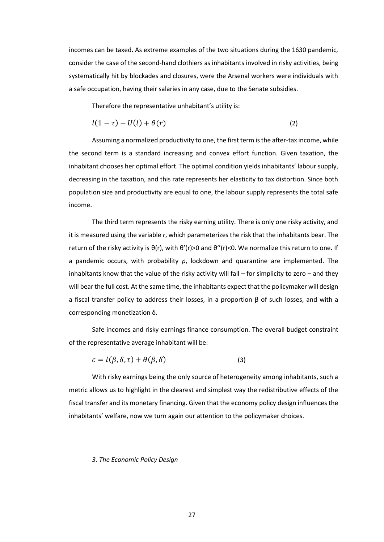incomes can be taxed. As extreme examples of the two situations during the 1630 pandemic, consider the case of the second-hand clothiers as inhabitants involved in risky activities, being systematically hit by blockades and closures, were the Arsenal workers were individuals with a safe occupation, having their salaries in any case, due to the Senate subsidies.

Therefore the representative unhabitant's utility is:

$$
l(1-\tau) - U(l) + \theta(r) \tag{2}
$$

Assuming a normalized productivity to one, the first term is the after-tax income, while the second term is a standard increasing and convex effort function. Given taxation, the inhabitant chooses her optimal effort. The optimal condition yields inhabitants' labour supply, decreasing in the taxation, and this rate represents her elasticity to tax distortion. Since both population size and productivity are equal to one, the labour supply represents the total safe income.

The third term represents the risky earning utility. There is only one risky activity, and it is measured using the variable *r*, which parameterizes the risk that the inhabitants bear. The return of the risky activity is θ(r), with θ'(r)>0 and θ''(r)<0. We normalize this return to one. If a pandemic occurs, with probability *p*, lockdown and quarantine are implemented. The inhabitants know that the value of the risky activity will fall – for simplicity to zero – and they will bear the full cost. At the same time, the inhabitants expect that the policymaker will design a fiscal transfer policy to address their losses, in a proportion β of such losses, and with a corresponding monetization δ.

Safe incomes and risky earnings finance consumption. The overall budget constraint of the representative average inhabitant will be:

$$
c = l(\beta, \delta, \tau) + \theta(\beta, \delta) \tag{3}
$$

With risky earnings being the only source of heterogeneity among inhabitants, such a metric allows us to highlight in the clearest and simplest way the redistributive effects of the fiscal transfer and its monetary financing. Given that the economy policy design influences the inhabitants' welfare, now we turn again our attention to the policymaker choices.

#### *3. The Economic Policy Design*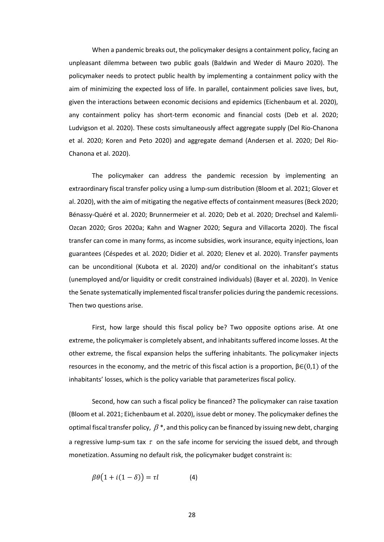When a pandemic breaks out, the policymaker designs a containment policy, facing an unpleasant dilemma between two public goals (Baldwin and Weder di Mauro 2020). The policymaker needs to protect public health by implementing a containment policy with the aim of minimizing the expected loss of life. In parallel, containment policies save lives, but, given the interactions between economic decisions and epidemics (Eichenbaum et al. 2020), any containment policy has short-term economic and financial costs (Deb et al. 2020; Ludvigson et al. 2020). These costs simultaneously affect aggregate supply (Del Rio-Chanona et al. 2020; Koren and Peto 2020) and aggregate demand (Andersen et al. 2020; Del Rio-Chanona et al. 2020).

The policymaker can address the pandemic recession by implementing an extraordinary fiscal transfer policy using a lump-sum distribution (Bloom et al. 2021; Glover et al. 2020), with the aim of mitigating the negative effects of containment measures (Beck 2020; Bénassy-Quéré et al. 2020; Brunnermeier et al. 2020; Deb et al. 2020; Drechsel and Kalemli-Ozcan 2020; Gros 2020a; Kahn and Wagner 2020; Segura and Villacorta 2020). The fiscal transfer can come in many forms, as income subsidies, work insurance, equity injections, loan guarantees (Céspedes et al. 2020; Didier et al. 2020; Elenev et al. 2020). Transfer payments can be unconditional (Kubota et al. 2020) and/or conditional on the inhabitant's status (unemployed and/or liquidity or credit constrained individuals) (Bayer et al. 2020). In Venice the Senate systematically implemented fiscal transfer policies during the pandemic recessions. Then two questions arise.

First, how large should this fiscal policy be? Two opposite options arise. At one extreme, the policymaker is completely absent, and inhabitants suffered income losses. At the other extreme, the fiscal expansion helps the suffering inhabitants. The policymaker injects resources in the economy, and the metric of this fiscal action is a proportion,  $\beta \in (0,1)$  of the inhabitants' losses, which is the policy variable that parameterizes fiscal policy.

Second, how can such a fiscal policy be financed? The policymaker can raise taxation (Bloom et al. 2021; Eichenbaum et al. 2020), issue debt or money. The policymaker defines the optimal fiscal transfer policy,  $\beta$  \*, and this policy can be financed by issuing new debt, charging a regressive lump-sum tax  $\tau$  on the safe income for servicing the issued debt, and through monetization. Assuming no default risk, the policymaker budget constraint is:

$$
\beta\theta(1+i(1-\delta))=\tau l \tag{4}
$$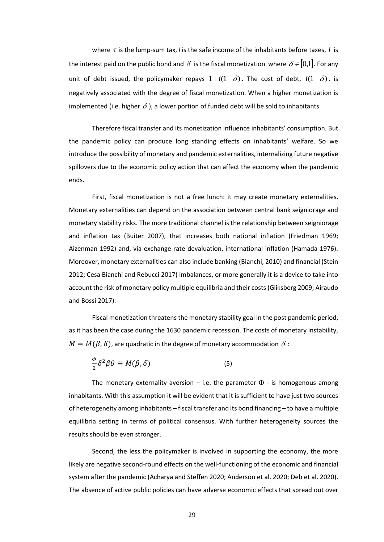where  $\tau$  is the lump-sum tax, *l* is the safe income of the inhabitants before taxes,  $i$  is the interest paid on the public bond and  $\,\delta\,$  is the fiscal monetization where  $\,\delta\,{\in}\,[0{,}1]$ . For any unit of debt issued, the policymaker repays  $1+i(1-\delta)$ . The cost of debt,  $i(1-\delta)$ , is negatively associated with the degree of fiscal monetization. When a higher monetization is implemented (i.e. higher  $\delta$  ), a lower portion of funded debt will be sold to inhabitants.

Therefore fiscal transfer and its monetization influence inhabitants' consumption. But the pandemic policy can produce long standing effects on inhabitants' welfare. So we introduce the possibility of monetary and pandemic externalities, internalizing future negative spillovers due to the economic policy action that can affect the economy when the pandemic ends.

First, fiscal monetization is not a free lunch: it may create monetary externalities. Monetary externalities can depend on the association between central bank seigniorage and monetary stability risks. The more traditional channel is the relationship between seigniorage and inflation tax (Buiter 2007), that increases both national inflation (Friedman 1969; Aizenman 1992) and, via exchange rate devaluation, international inflation (Hamada 1976). Moreover, monetary externalities can also include banking (Bianchi, 2010) and financial (Stein 2012; Cesa Bianchi and Rebucci 2017) imbalances, or more generally it is a device to take into account the risk of monetary policy multiple equilibria and their costs (Gliksberg 2009; Airaudo and Bossi 2017).

Fiscal monetization threatens the monetary stability goal in the post pandemic period, as it has been the case during the 1630 pandemic recession. The costs of monetary instability,  $M = M(\beta, \delta)$ , are quadratic in the degree of monetary accommodation  $\,\delta$  :

$$
\frac{\phi}{2}\delta^2\beta\theta \equiv M(\beta,\delta) \tag{5}
$$

The monetary externality aversion – i.e. the parameter  $\Phi$  - is homogenous among inhabitants. With this assumption it will be evident that it is sufficient to have just two sources of heterogeneity among inhabitants – fiscal transfer and its bond financing – to have a multiple equilibria setting in terms of political consensus. With further heterogeneity sources the results should be even stronger.

Second, the less the policymaker is involved in supporting the economy, the more likely are negative second-round effects on the well-functioning of the economic and financial system after the pandemic (Acharya and Steffen 2020; Anderson et al. 2020; Deb et al. 2020). The absence of active public policies can have adverse economic effects that spread out over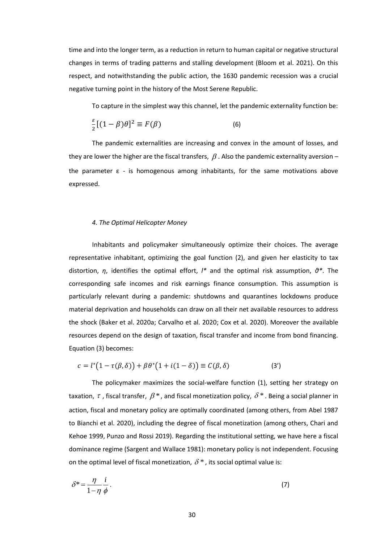time and into the longer term, as a reduction in return to human capital or negative structural changes in terms of trading patterns and stalling development (Bloom et al. 2021). On this respect, and notwithstanding the public action, the 1630 pandemic recession was a crucial negative turning point in the history of the Most Serene Republic.

To capture in the simplest way this channel, let the pandemic externality function be:

$$
\frac{\varepsilon}{2}[(1-\beta)\theta]^2 \equiv F(\beta) \tag{6}
$$

The pandemic externalities are increasing and convex in the amount of losses, and they are lower the higher are the fiscal transfers,  $\,\beta$  . Also the pandemic externality aversion – the parameter  $\varepsilon$  - is homogenous among inhabitants, for the same motivations above expressed.

## *4. The Optimal Helicopter Money*

Inhabitants and policymaker simultaneously optimize their choices. The average representative inhabitant, optimizing the goal function (2), and given her elasticity to tax distortion, *η*, identifies the optimal effort, *l\** and the optimal risk assumption, *θ\**. The corresponding safe incomes and risk earnings finance consumption. This assumption is particularly relevant during a pandemic: shutdowns and quarantines lockdowns produce material deprivation and households can draw on all their net available resources to address the shock (Baker et al. 2020a; Carvalho et al. 2020; Cox et al. 2020). Moreover the available resources depend on the design of taxation, fiscal transfer and income from bond financing. Equation (3) becomes:

$$
c = l^* (1 - \tau(\beta, \delta)) + \beta \theta^* (1 + i(1 - \delta)) \equiv C(\beta, \delta)
$$
 (3')

The policymaker maximizes the social-welfare function (1), setting her strategy on taxation,  $\tau$  , fiscal transfer,  $\beta$   $^*$  , and fiscal monetization policy,  $\delta$   $^*$  . Being a social planner in action, fiscal and monetary policy are optimally coordinated (among others, from Abel 1987 to Bianchi et al. 2020), including the degree of fiscal monetization (among others, Chari and Kehoe 1999, Punzo and Rossi 2019). Regarding the institutional setting, we have here a fiscal dominance regime (Sargent and Wallace 1981): monetary policy is not independent. Focusing on the optimal level of fiscal monetization,  $\delta^*$ , its social optimal value is:

$$
\delta^* = \frac{\eta}{1 - \eta} \frac{i}{\phi} \,. \tag{7}
$$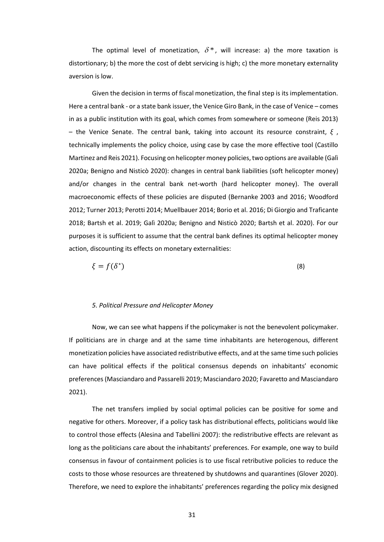The optimal level of monetization,  $\delta^*$ , will increase: a) the more taxation is distortionary; b) the more the cost of debt servicing is high; c) the more monetary externality aversion is low.

Given the decision in terms of fiscal monetization, the final step is its implementation. Here a central bank - or a state bank issuer, the Venice Giro Bank, in the case of Venice – comes in as a public institution with its goal, which comes from somewhere or someone (Reis 2013) – the Venice Senate. The central bank, taking into account its resource constraint, *ξ* , technically implements the policy choice, using case by case the more effective tool (Castillo Martinez and Reis 2021). Focusing on helicopter money policies, two options are available (Galì 2020a; Benigno and Nisticò 2020): changes in central bank liabilities (soft helicopter money) and/or changes in the central bank net-worth (hard helicopter money). The overall macroeconomic effects of these policies are disputed (Bernanke 2003 and 2016; Woodford 2012; Turner 2013; Perotti 2014; Muellbauer 2014; Borio et al. 2016; Di Giorgio and Traficante 2018; Bartsh et al. 2019; Galì 2020a; Benigno and Nisticò 2020; Bartsh et al. 2020). For our purposes it is sufficient to assume that the central bank defines its optimal helicopter money action, discounting its effects on monetary externalities:

$$
\xi = f(\delta^*)\tag{8}
$$

#### *5. Political Pressure and Helicopter Money*

Now, we can see what happens if the policymaker is not the benevolent policymaker. If politicians are in charge and at the same time inhabitants are heterogenous, different monetization policies have associated redistributive effects, and at the same time such policies can have political effects if the political consensus depends on inhabitants' economic preferences (Masciandaro and Passarelli 2019; Masciandaro 2020; Favaretto and Masciandaro 2021).

The net transfers implied by social optimal policies can be positive for some and negative for others. Moreover, if a policy task has distributional effects, politicians would like to control those effects (Alesina and Tabellini 2007): the redistributive effects are relevant as long as the politicians care about the inhabitants' preferences. For example, one way to build consensus in favour of containment policies is to use fiscal retributive policies to reduce the costs to those whose resources are threatened by shutdowns and quarantines (Glover 2020). Therefore, we need to explore the inhabitants' preferences regarding the policy mix designed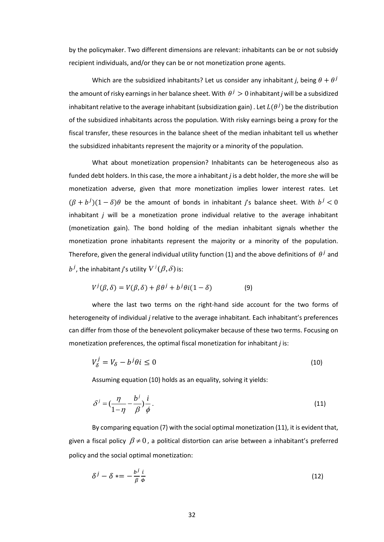by the policymaker. Two different dimensions are relevant: inhabitants can be or not subsidy recipient individuals, and/or they can be or not monetization prone agents.

Which are the subsidized inhabitants? Let us consider any inhabitant *j*, being  $\theta + \theta^j$ the amount of risky earnings in her balance sheet. With  $\,\theta^{\,j} > 0$  inhabitant  $j$  will be a subsidized inhabitant relative to the average inhabitant (subsidization gain) . Let  $L(\theta^j)$  be the distribution of the subsidized inhabitants across the population. With risky earnings being a proxy for the fiscal transfer, these resources in the balance sheet of the median inhabitant tell us whether the subsidized inhabitants represent the majority or a minority of the population.

What about monetization propension? Inhabitants can be heterogeneous also as funded debt holders. In this case, the more a inhabitant *j* is a debt holder, the more she will be monetization adverse, given that more monetization implies lower interest rates. Let  $(\beta + b^{j})(1 - \delta)\theta$  be the amount of bonds in inhabitant *j*'s balance sheet. With  $b^{j} < 0$ inhabitant *j* will be a monetization prone individual relative to the average inhabitant (monetization gain). The bond holding of the median inhabitant signals whether the monetization prone inhabitants represent the majority or a minority of the population. Therefore, given the general individual utility function (1) and the above definitions of  $\,\theta^{\,j}$  and  $b^j$ , the inhabitant j's utility  $V^j(\beta,\delta)$  is:

$$
V^{j}(\beta,\delta) = V(\beta,\delta) + \beta \theta^{j} + b^{j} \theta i (1-\delta)
$$
 (9)

where the last two terms on the right-hand side account for the two forms of heterogeneity of individual *j* relative to the average inhabitant. Each inhabitant's preferences can differ from those of the benevolent policymaker because of these two terms. Focusing on monetization preferences, the optimal fiscal monetization for inhabitant *j* is:

$$
V_{\delta}^{j} = V_{\delta} - b^{j} \theta i \le 0 \tag{10}
$$

Assuming equation (10) holds as an equality, solving it yields:

$$
\delta^j = \left(\frac{\eta}{1-\eta} - \frac{b^j}{\beta}\right)\frac{i}{\phi} \,. \tag{11}
$$

By comparing equation (7) with the social optimal monetization (11), it is evident that, given a fiscal policy  $\beta \neq 0$  , a political distortion can arise between a inhabitant's preferred policy and the social optimal monetization:

$$
\delta^j - \delta \, * = -\frac{b^j \, i}{\beta \, \phi} \tag{12}
$$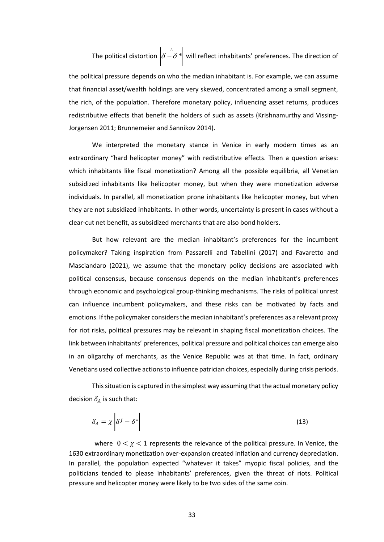The political distortion  $\left|\delta-\delta\right\rangle^*$  will reflect inhabitants' preferences. The direction of

the political pressure depends on who the median inhabitant is. For example, we can assume that financial asset/wealth holdings are very skewed, concentrated among a small segment, the rich, of the population. Therefore monetary policy, influencing asset returns, produces redistributive effects that benefit the holders of such as assets (Krishnamurthy and Vissing-Jorgensen 2011; Brunnemeier and Sannikov 2014).

We interpreted the monetary stance in Venice in early modern times as an extraordinary "hard helicopter money" with redistributive effects. Then a question arises: which inhabitants like fiscal monetization? Among all the possible equilibria, all Venetian subsidized inhabitants like helicopter money, but when they were monetization adverse individuals. In parallel, all monetization prone inhabitants like helicopter money, but when they are not subsidized inhabitants. In other words, uncertainty is present in cases without a clear-cut net benefit, as subsidized merchants that are also bond holders.

But how relevant are the median inhabitant's preferences for the incumbent policymaker? Taking inspiration from Passarelli and Tabellini (2017) and Favaretto and Masciandaro (2021), we assume that the monetary policy decisions are associated with political consensus, because consensus depends on the median inhabitant's preferences through economic and psychological group-thinking mechanisms. The risks of political unrest can influence incumbent policymakers, and these risks can be motivated by facts and emotions. If the policymaker considers the median inhabitant's preferences as a relevant proxy for riot risks, political pressures may be relevant in shaping fiscal monetization choices. The link between inhabitants' preferences, political pressure and political choices can emerge also in an oligarchy of merchants, as the Venice Republic was at that time. In fact, ordinary Venetians used collective actions to influence patrician choices, especially during crisis periods.

This situation is captured in the simplest way assuming that the actual monetary policy decision  $\delta_A$  is such that:

$$
\delta_A = \chi \left| \delta^j - \delta^* \right| \tag{13}
$$

where  $0 < \chi < 1$  represents the relevance of the political pressure. In Venice, the 1630 extraordinary monetization over-expansion created inflation and currency depreciation. In parallel, the population expected "whatever it takes" myopic fiscal policies, and the politicians tended to please inhabitants' preferences, given the threat of riots. Political pressure and helicopter money were likely to be two sides of the same coin.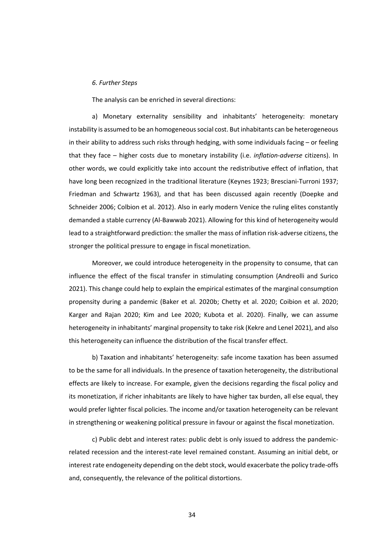## *6. Further Steps*

The analysis can be enriched in several directions:

a) Monetary externality sensibility and inhabitants' heterogeneity: monetary instability is assumed to be an homogeneous social cost. But inhabitants can be heterogeneous in their ability to address such risks through hedging, with some individuals facing – or feeling that they face – higher costs due to monetary instability (i.e. *inflation-adverse* citizens). In other words, we could explicitly take into account the redistributive effect of inflation, that have long been recognized in the traditional literature (Keynes 1923; Bresciani-Turroni 1937; Friedman and Schwartz 1963), and that has been discussed again recently (Doepke and Schneider 2006; Colbion et al. 2012). Also in early modern Venice the ruling elites constantly demanded a stable currency (Al-Bawwab 2021). Allowing for this kind of heterogeneity would lead to a straightforward prediction: the smaller the mass of inflation risk-adverse citizens, the stronger the political pressure to engage in fiscal monetization.

Moreover, we could introduce heterogeneity in the propensity to consume, that can influence the effect of the fiscal transfer in stimulating consumption (Andreolli and Surico 2021). This change could help to explain the empirical estimates of the marginal consumption propensity during a pandemic (Baker et al. 2020b; Chetty et al. 2020; Coibion et al. 2020; Karger and Rajan 2020; Kim and Lee 2020; Kubota et al. 2020). Finally, we can assume heterogeneity in inhabitants' marginal propensity to take risk (Kekre and Lenel 2021), and also this heterogeneity can influence the distribution of the fiscal transfer effect.

b) Taxation and inhabitants' heterogeneity: safe income taxation has been assumed to be the same for all individuals. In the presence of taxation heterogeneity, the distributional effects are likely to increase. For example, given the decisions regarding the fiscal policy and its monetization, if richer inhabitants are likely to have higher tax burden, all else equal, they would prefer lighter fiscal policies. The income and/or taxation heterogeneity can be relevant in strengthening or weakening political pressure in favour or against the fiscal monetization.

c) Public debt and interest rates: public debt is only issued to address the pandemicrelated recession and the interest-rate level remained constant. Assuming an initial debt, or interest rate endogeneity depending on the debt stock, would exacerbate the policy trade-offs and, consequently, the relevance of the political distortions.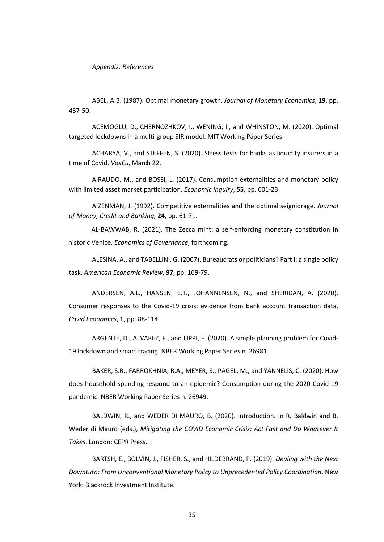### *Appendix: References*

ABEL, A.B. (1987). Optimal monetary growth. *Journal of Monetary Economics*, **19**, pp. 437-50.

ACEMOGLU, D., CHERNOZHKOV, I., WENING, I., and WHINSTON, M. (2020). Optimal targeted lockdowns in a multi-group SIR model. MIT Working Paper Series.

ACHARYA, V., and STEFFEN, S. (2020). Stress tests for banks as liquidity insurers in a time of Covid. *VoxEu*, March 22.

AIRAUDO, M., and BOSSI, L. (2017). Consumption externalities and monetary policy with limited asset market participation. *Economic Inquiry*, **55**, pp. 601-23.

AIZENMAN, J. (1992). Competitive externalities and the optimal seigniorage. *Journal of Money, Credit and Banking,* **24**, pp. 61-71.

AL-BAWWAB, R. (2021). The Zecca mint: a self-enforcing monetary constitution in historic Venice. *Economics of Governance*, forthcoming.

ALESINA, A., and TABELLINI, G. (2007). Bureaucrats or politicians? Part I: a single policy task. *American Economic Review*, **97**, pp. 169-79.

ANDERSEN, A.L., HANSEN, E.T., JOHANNENSEN, N., and SHERIDAN, A. (2020). Consumer responses to the Covid-19 crisis: evidence from bank account transaction data. *Covid Economics*, **1**, pp. 88-114.

ARGENTE, D., ALVAREZ, F., and LIPPI, F. (2020). A simple planning problem for Covid-19 lockdown and smart tracing. NBER Working Paper Series n. 26981.

BAKER, S.R., FARROKHNIA, R.A., MEYER, S., PAGEL, M., and YANNELIS, C. (2020). How does household spending respond to an epidemic? Consumption during the 2020 Covid-19 pandemic. NBER Working Paper Series n. 26949.

BALDWIN, R., and WEDER DI MAURO, B. (2020). Introduction. In R. Baldwin and B. Weder di Mauro (eds.), *Mitigating the COVID Economic Crisis: Act Fast and Do Whatever It Takes*. London: CEPR Press.

BARTSH, E., BOLVIN, J., FISHER, S., and HILDEBRAND, P. (2019). *Dealing with the Next Downturn: From Unconventional Monetary Policy to Unprecedented Policy Coordination*. New York: Blackrock Investment Institute.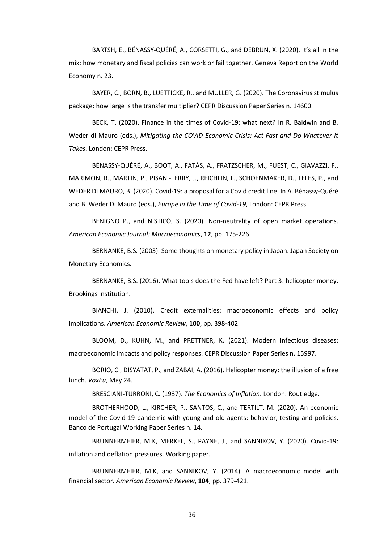BARTSH, E., BÉNASSY-QUÉRÉ, A., CORSETTI, G., and DEBRUN, X. (2020). It's all in the mix: how monetary and fiscal policies can work or fail together. Geneva Report on the World Economy n. 23.

BAYER, C., BORN, B., LUETTICKE, R., and MULLER, G. (2020). The Coronavirus stimulus package: how large is the transfer multiplier? CEPR Discussion Paper Series n. 14600.

BECK, T. (2020). Finance in the times of Covid-19: what next? In R. Baldwin and B. Weder di Mauro (eds.), *Mitigating the COVID Economic Crisis: Act Fast and Do Whatever It Takes*. London: CEPR Press.

BÉNASSY-QUÉRÉ, A., BOOT, A., FATÀS, A., FRATZSCHER, M., FUEST, C., GIAVAZZI, F., MARIMON, R., MARTIN, P., PISANI-FERRY, J., REICHLIN, L., SCHOENMAKER, D., TELES, P., and WEDER DI MAURO, B. (2020). Covid-19: a proposal for a Covid credit line. In A. Bénassy-Quéré and B. Weder Di Mauro (eds.), *Europe in the Time of Covid-19*, London: CEPR Press.

BENIGNO P., and NISTICÒ, S. (2020). Non-neutrality of open market operations. *American Economic Journal: Macroeconomics*, **12**, pp. 175-226.

BERNANKE, B.S. (2003). Some thoughts on monetary policy in Japan. Japan Society on Monetary Economics.

BERNANKE, B.S. (2016). What tools does the Fed have left? Part 3: helicopter money. Brookings Institution.

BIANCHI, J. (2010). Credit externalities: macroeconomic effects and policy implications. *American Economic Review*, **100**, pp. 398-402.

BLOOM, D., KUHN, M., and PRETTNER, K. (2021). Modern infectious diseases: macroeconomic impacts and policy responses. CEPR Discussion Paper Series n. 15997.

BORIO, C., DISYATAT, P., and ZABAI, A. (2016). Helicopter money: the illusion of a free lunch. *VoxEu*, May 24.

BRESCIANI-TURRONI, C. (1937). *The Economics of Inflation*. London: Routledge.

BROTHERHOOD, L., KIRCHER, P., SANTOS, C., and TERTILT, M. (2020). An economic model of the Covid-19 pandemic with young and old agents: behavior, testing and policies. Banco de Portugal Working Paper Series n. 14.

BRUNNERMEIER, M.K, MERKEL, S., PAYNE, J., and SANNIKOV, Y. (2020). Covid-19: inflation and deflation pressures. Working paper.

BRUNNERMEIER, M.K, and SANNIKOV, Y. (2014). A macroeconomic model with financial sector. *American Economic Review*, **104**, pp. 379-421.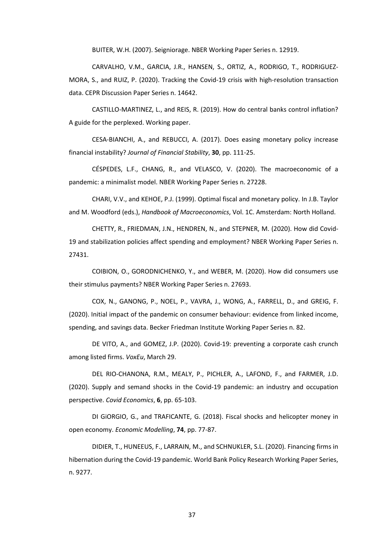BUITER, W.H. (2007). Seigniorage. NBER Working Paper Series n. 12919.

CARVALHO, V.M., GARCIA, J.R., HANSEN, S., ORTIZ, A., RODRIGO, T., RODRIGUEZ-MORA, S., and RUIZ, P. (2020). Tracking the Covid-19 crisis with high-resolution transaction data. CEPR Discussion Paper Series n. 14642.

CASTILLO-MARTINEZ, L., and REIS, R. (2019). How do central banks control inflation? A guide for the perplexed. Working paper.

CESA-BIANCHI, A., and REBUCCI, A. (2017). Does easing monetary policy increase financial instability? *Journal of Financial Stability*, **30**, pp. 111-25.

CÉSPEDES, L.F., CHANG, R., and VELASCO, V. (2020). The macroeconomic of a pandemic: a minimalist model. NBER Working Paper Series n. 27228.

CHARI, V.V., and KEHOE, P.J. (1999). Optimal fiscal and monetary policy. In J.B. Taylor and M. Woodford (eds.), *Handbook of Macroeconomics*, Vol. 1C. Amsterdam: North Holland.

CHETTY, R., FRIEDMAN, J.N., HENDREN, N., and STEPNER, M. (2020). How did Covid-19 and stabilization policies affect spending and employment? NBER Working Paper Series n. 27431.

COIBION, O., GORODNICHENKO, Y., and WEBER, M. (2020). How did consumers use their stimulus payments? NBER Working Paper Series n. 27693.

COX, N., GANONG, P., NOEL, P., VAVRA, J., WONG, A., FARRELL, D., and GREIG, F. (2020). Initial impact of the pandemic on consumer behaviour: evidence from linked income, spending, and savings data. Becker Friedman Institute Working Paper Series n. 82.

DE VITO, A., and GOMEZ, J.P. (2020). Covid-19: preventing a corporate cash crunch among listed firms. *VoxEu*, March 29.

DEL RIO-CHANONA, R.M., MEALY, P., PICHLER, A., LAFOND, F., and FARMER, J.D. (2020). Supply and semand shocks in the Covid-19 pandemic: an industry and occupation perspective. *Covid Economics*, **6**, pp. 65-103.

DI GiORGIO, G., and TRAFICANTE, G. (2018). Fiscal shocks and helicopter money in open economy. *Economic Modelling*, **74**, pp. 77-87.

DIDIER, T., HUNEEUS, F., LARRAIN, M., and SCHNUKLER, S.L. (2020). Financing firms in hibernation during the Covid-19 pandemic. World Bank Policy Research Working Paper Series, n. 9277.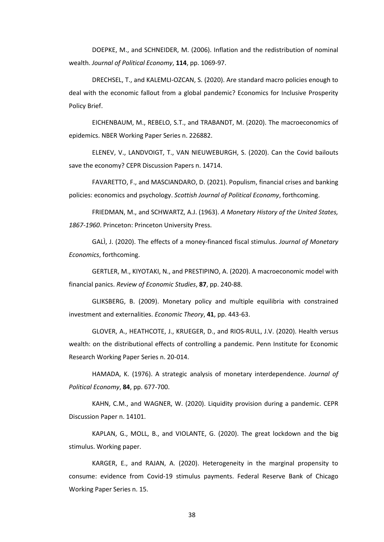DOEPKE, M., and SCHNEIDER, M. (2006). Inflation and the redistribution of nominal wealth. *Journal of Political Economy*, **114**, pp. 1069-97.

DRECHSEL, T., and KALEMLI-OZCAN, S. (2020). Are standard macro policies enough to deal with the economic fallout from a global pandemic? Economics for Inclusive Prosperity Policy Brief.

EICHENBAUM, M., REBELO, S.T., and TRABANDT, M. (2020). The macroeconomics of epidemics. NBER Working Paper Series n. 226882.

ELENEV, V., LANDVOIGT, T., VAN NIEUWEBURGH, S. (2020). Can the Covid bailouts save the economy? CEPR Discussion Papers n. 14714.

FAVARETTO, F., and MASCIANDARO, D. (2021). Populism, financial crises and banking policies: economics and psychology. *Scottish Journal of Political Economy*, forthcoming.

FRIEDMAN, M., and SCHWARTZ, A.J. (1963). *A Monetary History of the United States, 1867-1960*. Princeton: Princeton University Press.

GALÌ, J. (2020). The effects of a money-financed fiscal stimulus. *Journal of Monetary Economics*, forthcoming.

GERTLER, M., KIYOTAKI, N., and PRESTIPINO, A. (2020). A macroeconomic model with financial panics. *Review of Economic Studies*, **87**, pp. 240-88.

GLIKSBERG, B. (2009). Monetary policy and multiple equilibria with constrained investment and externalities. *Economic Theory*, **41**, pp. 443-63.

GLOVER, A., HEATHCOTE, J., KRUEGER, D., and RIOS-RULL, J.V. (2020). Health versus wealth: on the distributional effects of controlling a pandemic. Penn Institute for Economic Research Working Paper Series n. 20-014.

HAMADA, K. (1976). A strategic analysis of monetary interdependence. *Journal of Political Economy*, **84**, pp. 677-700.

KAHN, C.M., and WAGNER, W. (2020). Liquidity provision during a pandemic. CEPR Discussion Paper n. 14101.

KAPLAN, G., MOLL, B., and VIOLANTE, G. (2020). The great lockdown and the big stimulus. Working paper.

KARGER, E., and RAJAN, A. (2020). Heterogeneity in the marginal propensity to consume: evidence from Covid-19 stimulus payments. Federal Reserve Bank of Chicago Working Paper Series n. 15.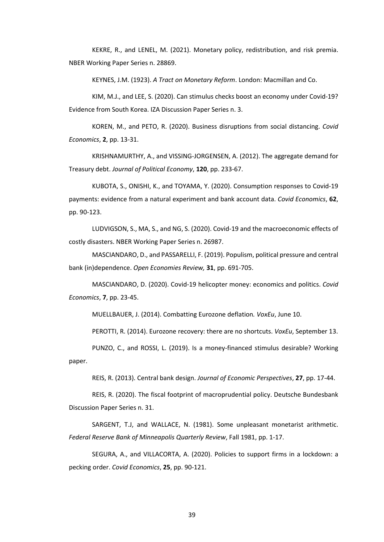KEKRE, R., and LENEL, M. (2021). Monetary policy, redistribution, and risk premia. NBER Working Paper Series n. 28869.

KEYNES, J.M. (1923). *A Tract on Monetary Reform*. London: Macmillan and Co.

KIM, M.J., and LEE, S. (2020). Can stimulus checks boost an economy under Covid-19? Evidence from South Korea. IZA Discussion Paper Series n. 3.

KOREN, M., and PETO, R. (2020). Business disruptions from social distancing. *Covid Economics*, **2**, pp. 13-31.

KRISHNAMURTHY, A., and VISSING-JORGENSEN, A. (2012). The aggregate demand for Treasury debt. *Journal of Political Economy*, **120**, pp. 233-67.

KUBOTA, S., ONISHI, K., and TOYAMA, Y. (2020). Consumption responses to Covid-19 payments: evidence from a natural experiment and bank account data. *Covid Economics*, **62**, pp. 90-123.

LUDVIGSON, S., MA, S., and NG, S. (2020). Covid-19 and the macroeconomic effects of costly disasters. NBER Working Paper Series n. 26987.

MASCIANDARO, D., and PASSARELLI, F. (2019). Populism, political pressure and central bank (in)dependence. *Open Economies Review,* **31**, pp. 691-705.

MASCIANDARO, D. (2020). Covid-19 helicopter money: economics and politics. *Covid Economics*, **7**, pp. 23-45.

MUELLBAUER, J. (2014). Combatting Eurozone deflation*. VoxEu*, June 10.

PEROTTI, R. (2014). Eurozone recovery: there are no shortcuts. *VoxEu*, September 13.

PUNZO, C., and ROSSI, L. (2019). Is a money-financed stimulus desirable? Working paper.

REIS, R. (2013). Central bank design. *Journal of Economic Perspectives*, **27**, pp. 17-44.

REIS, R. (2020). The fiscal footprint of macroprudential policy. Deutsche Bundesbank Discussion Paper Series n. 31.

SARGENT, T.J, and WALLACE, N. (1981). Some unpleasant monetarist arithmetic. *Federal Reserve Bank of Minneapolis Quarterly Review*, Fall 1981, pp. 1-17.

SEGURA, A., and VILLACORTA, A. (2020). Policies to support firms in a lockdown: a pecking order. *Covid Economics*, **25**, pp. 90-121.